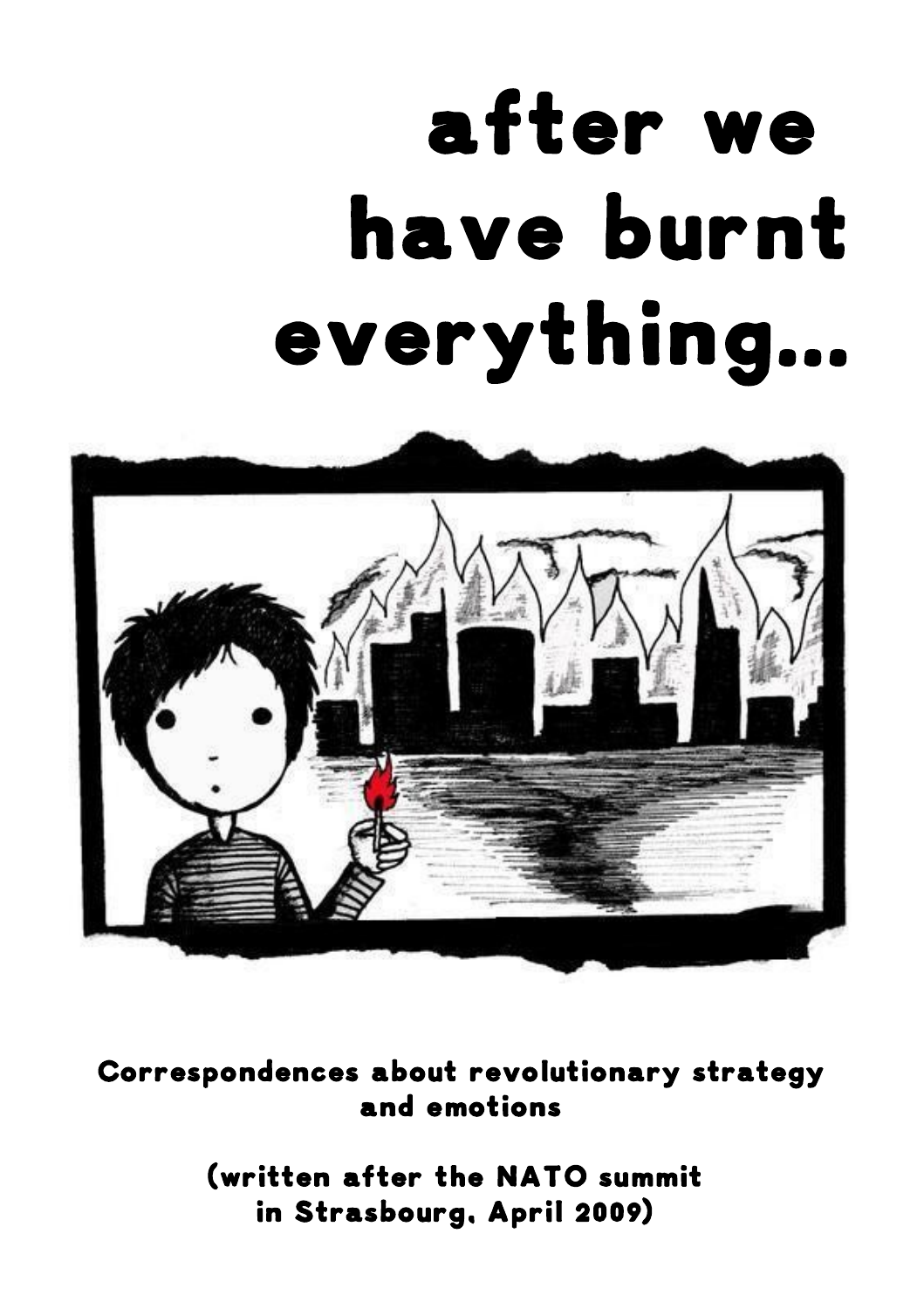# after we have burnt everything...



Correspondences about revolutionary strategy and emotions

> (written after the NATO summit in Strasbourg, April 2009)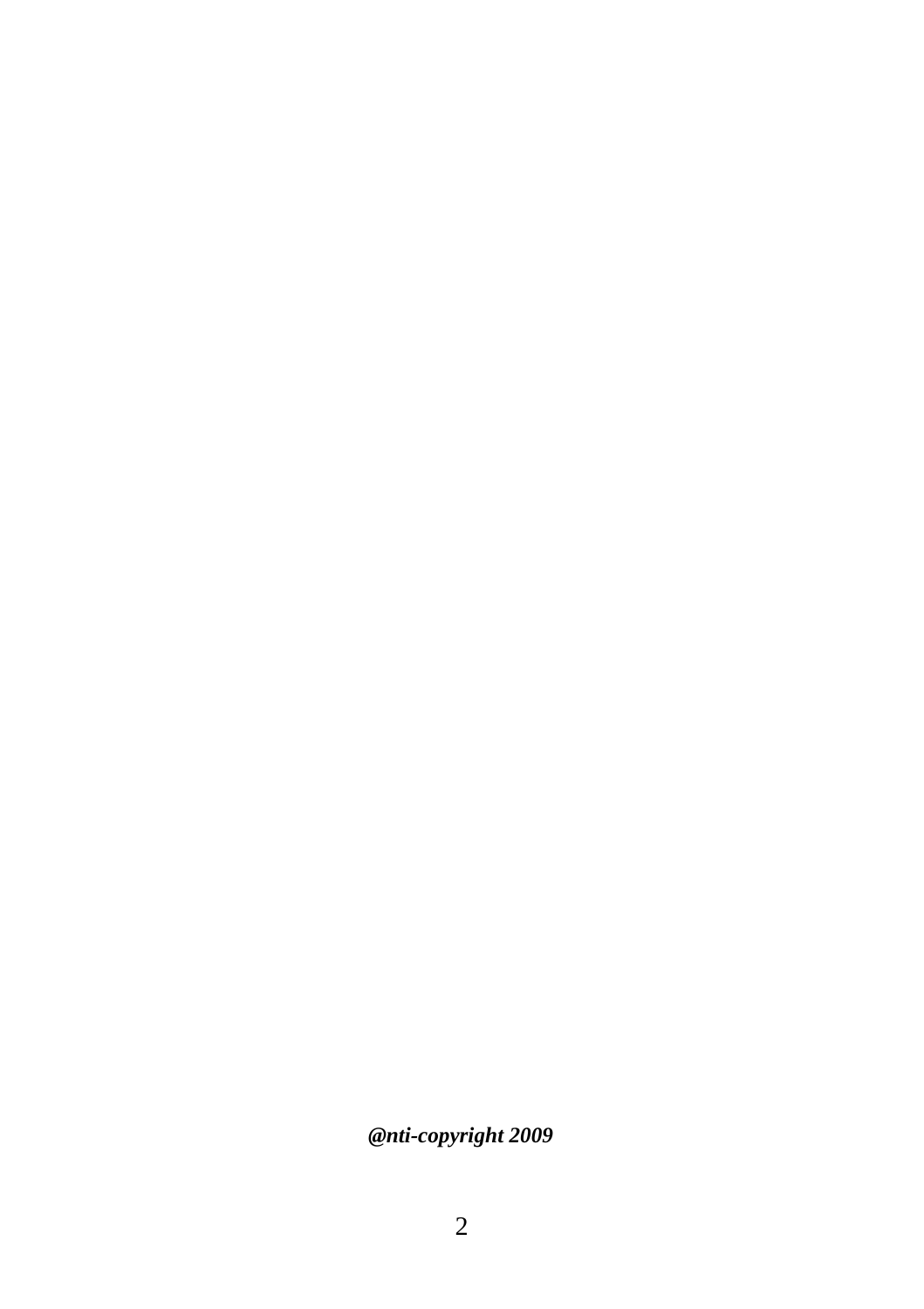*@nti-copyright 2009*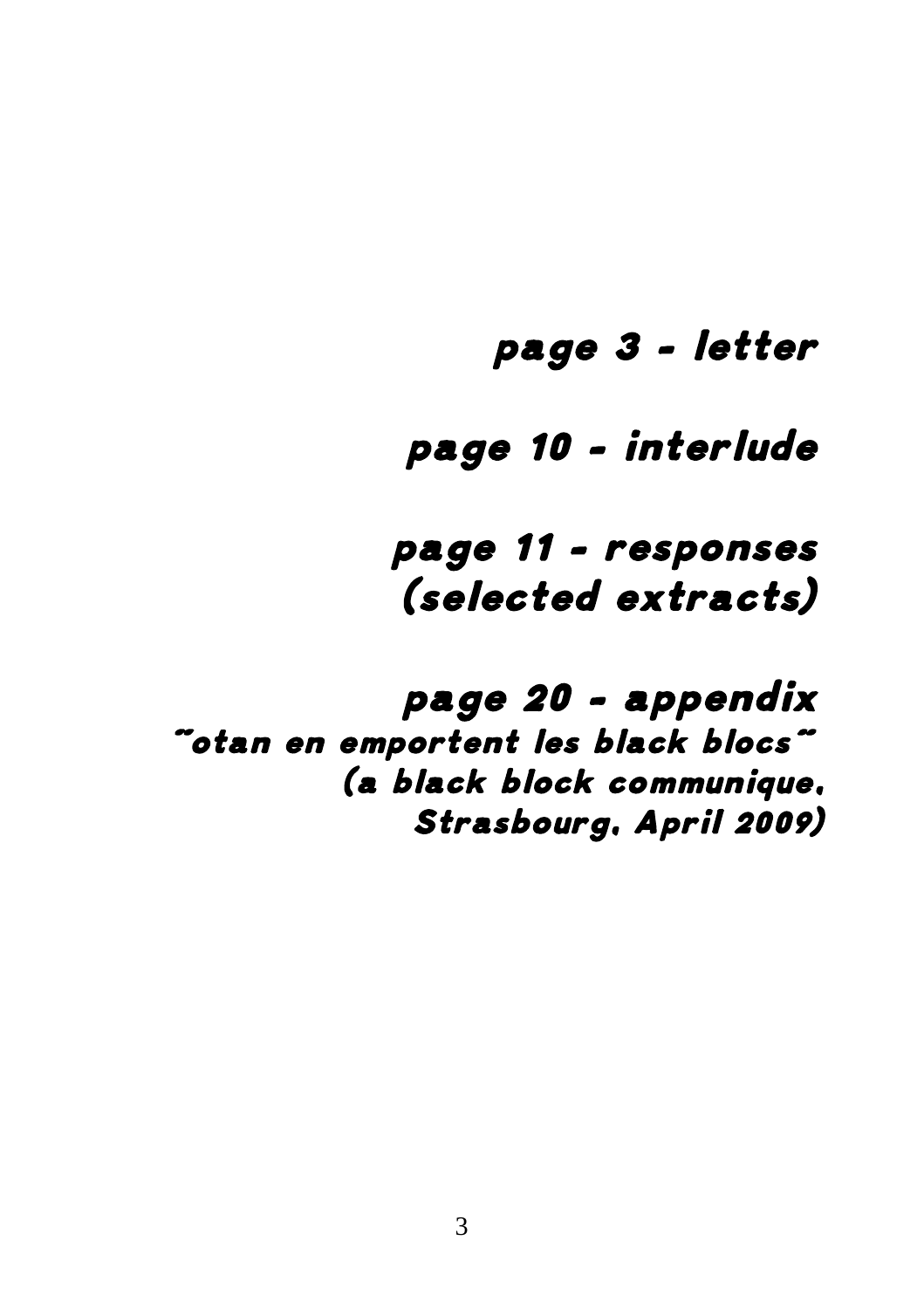## page 3 – letter

## page 10 – interlude

page 11 - responses (selected extracts)

page 20 – appendix "otan en emportent les black blocs" (a black block communique, Strasbourg, April 2009)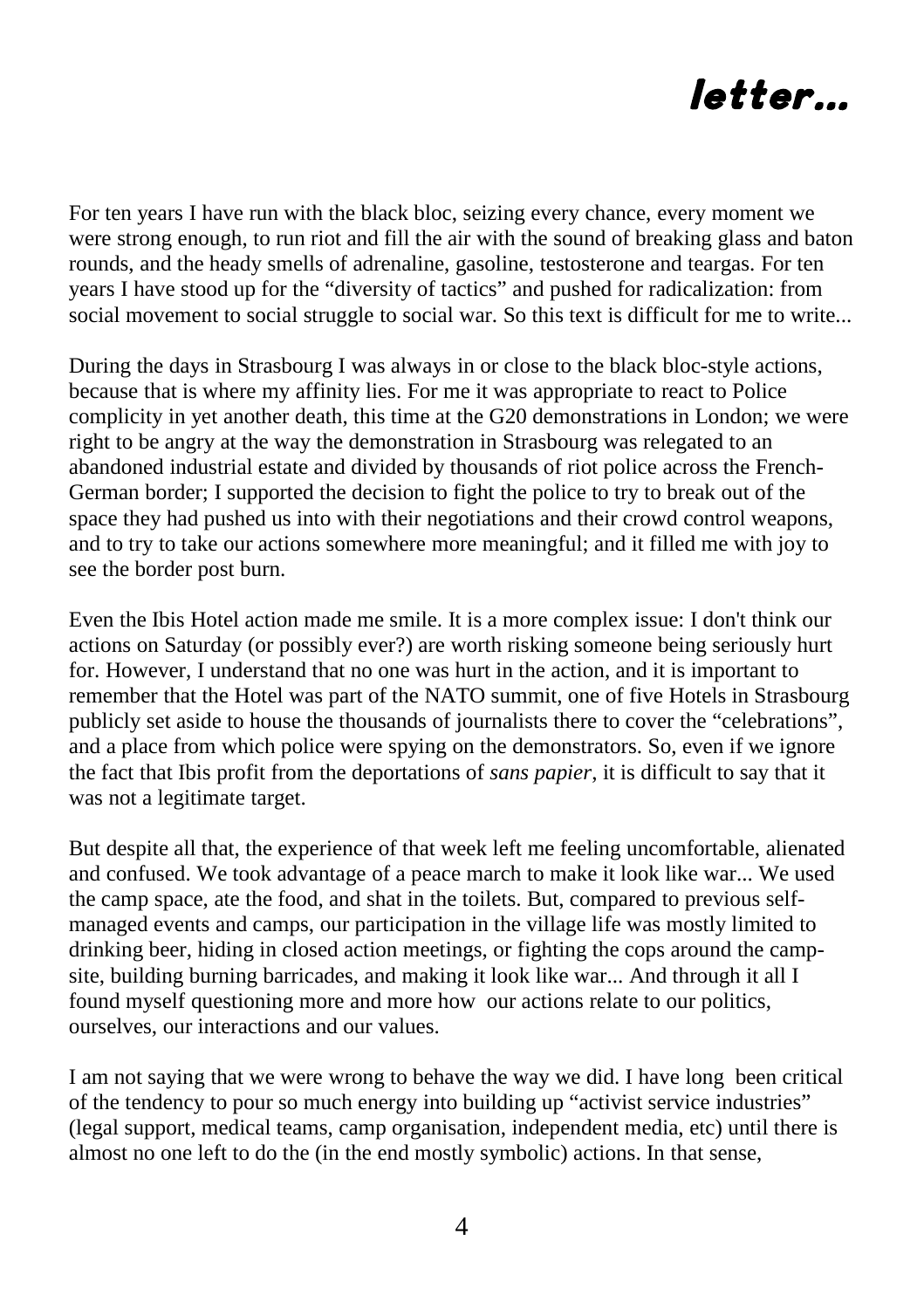

For ten years I have run with the black bloc, seizing every chance, every moment we were strong enough, to run riot and fill the air with the sound of breaking glass and baton rounds, and the heady smells of adrenaline, gasoline, testosterone and teargas. For ten years I have stood up for the "diversity of tactics" and pushed for radicalization: from social movement to social struggle to social war. So this text is difficult for me to write...

During the days in Strasbourg I was always in or close to the black bloc-style actions, because that is where my affinity lies. For me it was appropriate to react to Police complicity in yet another death, this time at the G20 demonstrations in London; we were right to be angry at the way the demonstration in Strasbourg was relegated to an abandoned industrial estate and divided by thousands of riot police across the French-German border; I supported the decision to fight the police to try to break out of the space they had pushed us into with their negotiations and their crowd control weapons, and to try to take our actions somewhere more meaningful; and it filled me with joy to see the border post burn.

Even the Ibis Hotel action made me smile. It is a more complex issue: I don't think our actions on Saturday (or possibly ever?) are worth risking someone being seriously hurt for. However, I understand that no one was hurt in the action, and it is important to remember that the Hotel was part of the NATO summit, one of five Hotels in Strasbourg publicly set aside to house the thousands of journalists there to cover the "celebrations", and a place from which police were spying on the demonstrators. So, even if we ignore the fact that Ibis profit from the deportations of *sans papier*, it is difficult to say that it was not a legitimate target.

But despite all that, the experience of that week left me feeling uncomfortable, alienated and confused. We took advantage of a peace march to make it look like war... We used the camp space, ate the food, and shat in the toilets. But, compared to previous selfmanaged events and camps, our participation in the village life was mostly limited to drinking beer, hiding in closed action meetings, or fighting the cops around the campsite, building burning barricades, and making it look like war... And through it all I found myself questioning more and more how our actions relate to our politics, ourselves, our interactions and our values.

I am not saying that we were wrong to behave the way we did. I have long been critical of the tendency to pour so much energy into building up "activist service industries" (legal support, medical teams, camp organisation, independent media, etc) until there is almost no one left to do the (in the end mostly symbolic) actions. In that sense,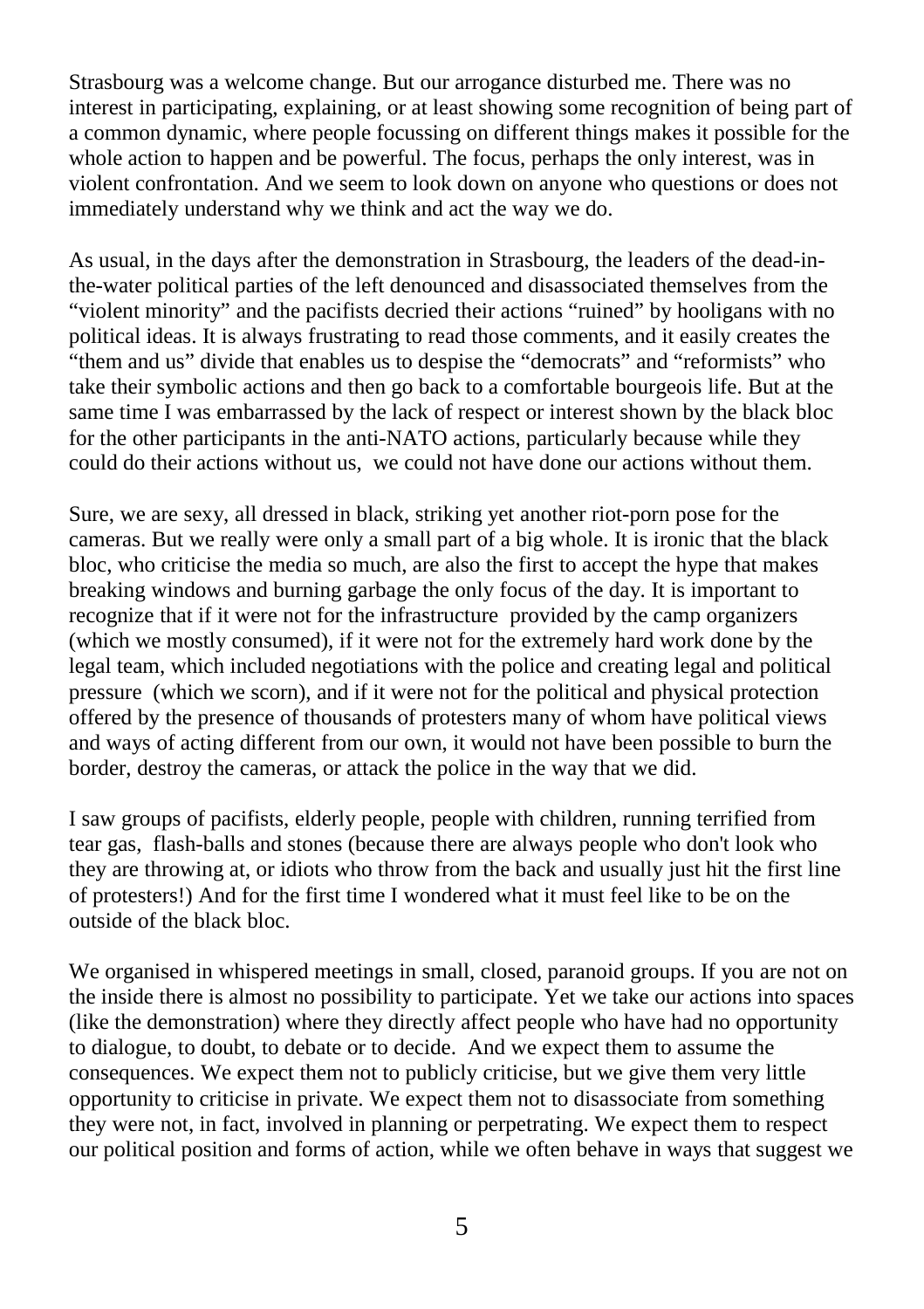Strasbourg was a welcome change. But our arrogance disturbed me. There was no interest in participating, explaining, or at least showing some recognition of being part of a common dynamic, where people focussing on different things makes it possible for the whole action to happen and be powerful. The focus, perhaps the only interest, was in violent confrontation. And we seem to look down on anyone who questions or does not immediately understand why we think and act the way we do.

As usual, in the days after the demonstration in Strasbourg, the leaders of the dead-inthe-water political parties of the left denounced and disassociated themselves from the "violent minority" and the pacifists decried their actions "ruined" by hooligans with no political ideas. It is always frustrating to read those comments, and it easily creates the "them and us" divide that enables us to despise the "democrats" and "reformists" who take their symbolic actions and then go back to a comfortable bourgeois life. But at the same time I was embarrassed by the lack of respect or interest shown by the black bloc for the other participants in the anti-NATO actions, particularly because while they could do their actions without us, we could not have done our actions without them.

Sure, we are sexy, all dressed in black, striking yet another riot-porn pose for the cameras. But we really were only a small part of a big whole. It is ironic that the black bloc, who criticise the media so much, are also the first to accept the hype that makes breaking windows and burning garbage the only focus of the day. It is important to recognize that if it were not for the infrastructure provided by the camp organizers (which we mostly consumed), if it were not for the extremely hard work done by the legal team, which included negotiations with the police and creating legal and political pressure (which we scorn), and if it were not for the political and physical protection offered by the presence of thousands of protesters many of whom have political views and ways of acting different from our own, it would not have been possible to burn the border, destroy the cameras, or attack the police in the way that we did.

I saw groups of pacifists, elderly people, people with children, running terrified from tear gas, flash-balls and stones (because there are always people who don't look who they are throwing at, or idiots who throw from the back and usually just hit the first line of protesters!) And for the first time I wondered what it must feel like to be on the outside of the black bloc.

We organised in whispered meetings in small, closed, paranoid groups. If you are not on the inside there is almost no possibility to participate. Yet we take our actions into spaces (like the demonstration) where they directly affect people who have had no opportunity to dialogue, to doubt, to debate or to decide. And we expect them to assume the consequences. We expect them not to publicly criticise, but we give them very little opportunity to criticise in private. We expect them not to disassociate from something they were not, in fact, involved in planning or perpetrating. We expect them to respect our political position and forms of action, while we often behave in ways that suggest we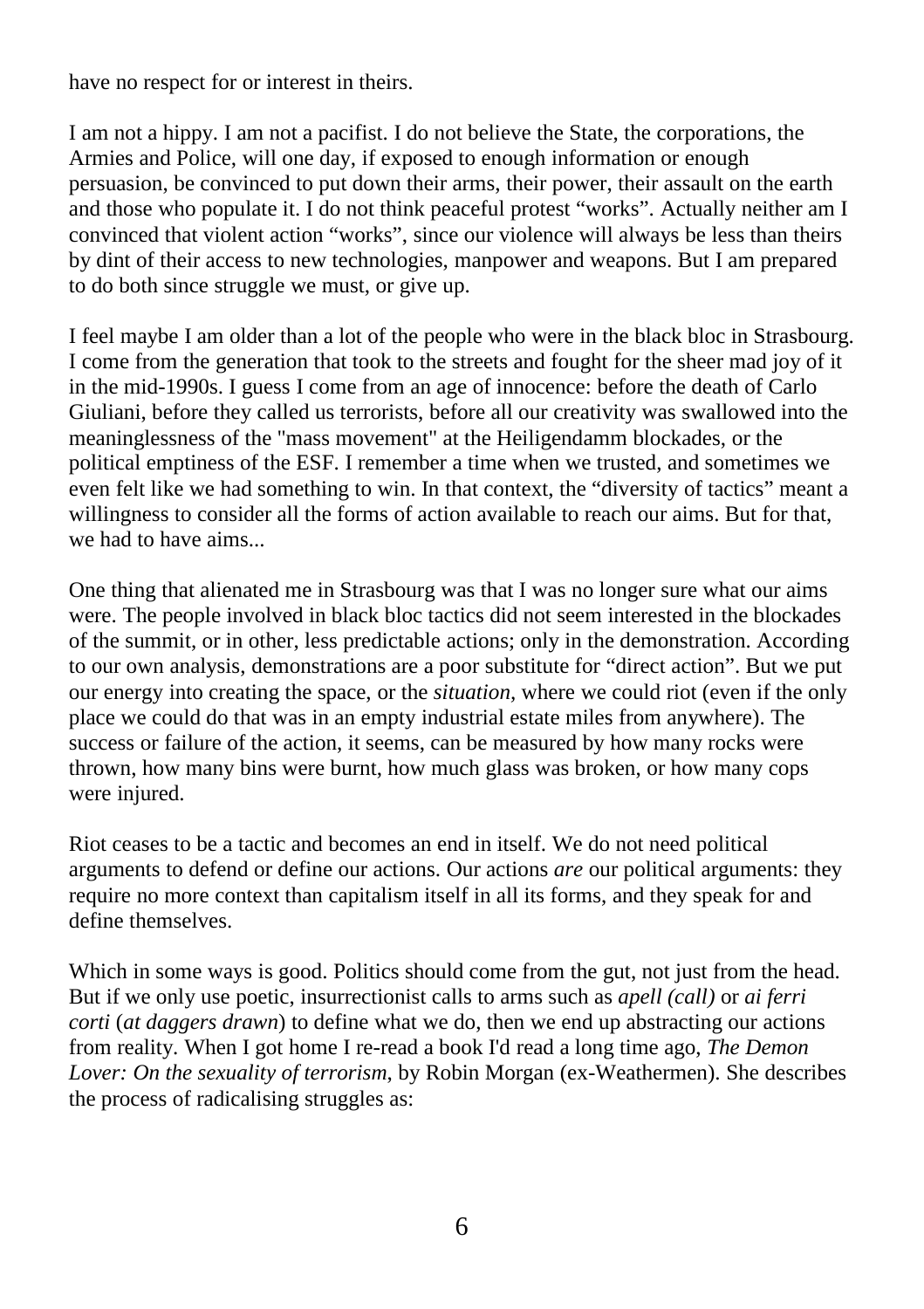have no respect for or interest in theirs.

I am not a hippy. I am not a pacifist. I do not believe the State, the corporations, the Armies and Police, will one day, if exposed to enough information or enough persuasion, be convinced to put down their arms, their power, their assault on the earth and those who populate it. I do not think peaceful protest "works". Actually neither am I convinced that violent action "works", since our violence will always be less than theirs by dint of their access to new technologies, manpower and weapons. But I am prepared to do both since struggle we must, or give up.

I feel maybe I am older than a lot of the people who were in the black bloc in Strasbourg. I come from the generation that took to the streets and fought for the sheer mad joy of it in the mid-1990s. I guess I come from an age of innocence: before the death of Carlo Giuliani, before they called us terrorists, before all our creativity was swallowed into the meaninglessness of the "mass movement" at the Heiligendamm blockades, or the political emptiness of the ESF. I remember a time when we trusted, and sometimes we even felt like we had something to win. In that context, the "diversity of tactics" meant a willingness to consider all the forms of action available to reach our aims. But for that, we had to have aims...

One thing that alienated me in Strasbourg was that I was no longer sure what our aims were. The people involved in black bloc tactics did not seem interested in the blockades of the summit, or in other, less predictable actions; only in the demonstration. According to our own analysis, demonstrations are a poor substitute for "direct action". But we put our energy into creating the space, or the *situation,* where we could riot (even if the only place we could do that was in an empty industrial estate miles from anywhere). The success or failure of the action, it seems, can be measured by how many rocks were thrown, how many bins were burnt, how much glass was broken, or how many cops were injured.

Riot ceases to be a tactic and becomes an end in itself. We do not need political arguments to defend or define our actions. Our actions *are* our political arguments: they require no more context than capitalism itself in all its forms, and they speak for and define themselves.

Which in some ways is good. Politics should come from the gut, not just from the head. But if we only use poetic, insurrectionist calls to arms such as *apell (call)* or *ai ferri corti* (*at daggers drawn*) to define what we do, then we end up abstracting our actions from reality. When I got home I re-read a book I'd read a long time ago, *The Demon Lover: On the sexuality of terrorism*, by Robin Morgan (ex-Weathermen). She describes the process of radicalising struggles as: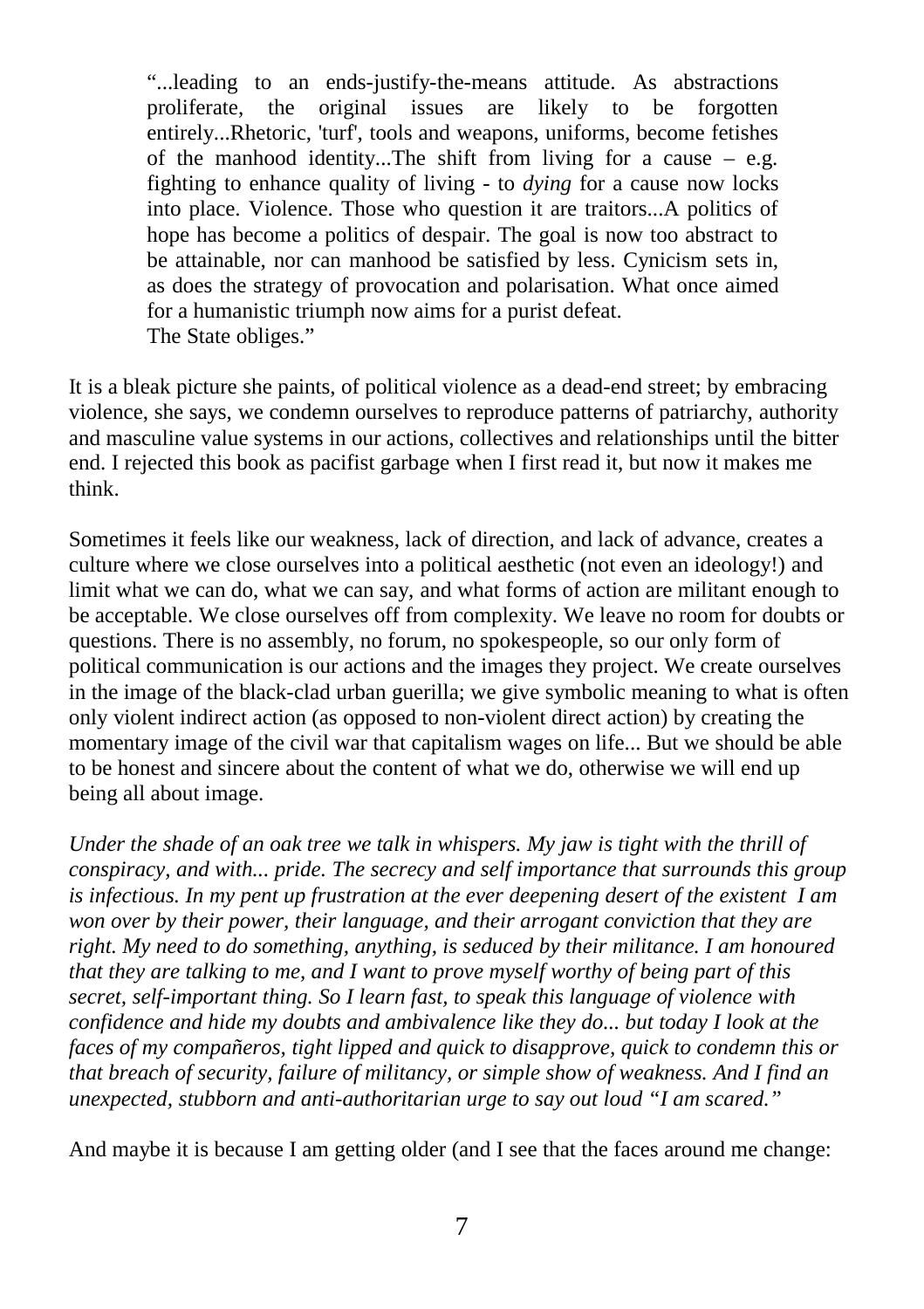"...leading to an ends-justify-the-means attitude. As abstractions proliferate, the original issues are likely to be forgotten entirely...Rhetoric, 'turf', tools and weapons, uniforms, become fetishes of the manhood identity...The shift from living for a cause  $-$  e.g. fighting to enhance quality of living - to *dying* for a cause now locks into place. Violence. Those who question it are traitors...A politics of hope has become a politics of despair. The goal is now too abstract to be attainable, nor can manhood be satisfied by less. Cynicism sets in, as does the strategy of provocation and polarisation. What once aimed for a humanistic triumph now aims for a purist defeat. The State obliges."

It is a bleak picture she paints, of political violence as a dead-end street; by embracing violence, she says, we condemn ourselves to reproduce patterns of patriarchy, authority and masculine value systems in our actions, collectives and relationships until the bitter end. I rejected this book as pacifist garbage when I first read it, but now it makes me think.

Sometimes it feels like our weakness, lack of direction, and lack of advance, creates a culture where we close ourselves into a political aesthetic (not even an ideology!) and limit what we can do, what we can say, and what forms of action are militant enough to be acceptable. We close ourselves off from complexity. We leave no room for doubts or questions. There is no assembly, no forum, no spokespeople, so our only form of political communication is our actions and the images they project. We create ourselves in the image of the black-clad urban guerilla; we give symbolic meaning to what is often only violent indirect action (as opposed to non-violent direct action) by creating the momentary image of the civil war that capitalism wages on life... But we should be able to be honest and sincere about the content of what we do, otherwise we will end up being all about image.

*Under the shade of an oak tree we talk in whispers. My jaw is tight with the thrill of conspiracy, and with... pride. The secrecy and self importance that surrounds this group is infectious. In my pent up frustration at the ever deepening desert of the existent I am won over by their power, their language, and their arrogant conviction that they are right. My need to do something, anything, is seduced by their militance. I am honoured that they are talking to me, and I want to prove myself worthy of being part of this secret, self-important thing. So I learn fast, to speak this language of violence with confidence and hide my doubts and ambivalence like they do... but today I look at the faces of my compañeros, tight lipped and quick to disapprove, quick to condemn this or that breach of security, failure of militancy, or simple show of weakness. And I find an unexpected, stubborn and anti-authoritarian urge to say out loud "I am scared."*

And maybe it is because I am getting older (and I see that the faces around me change: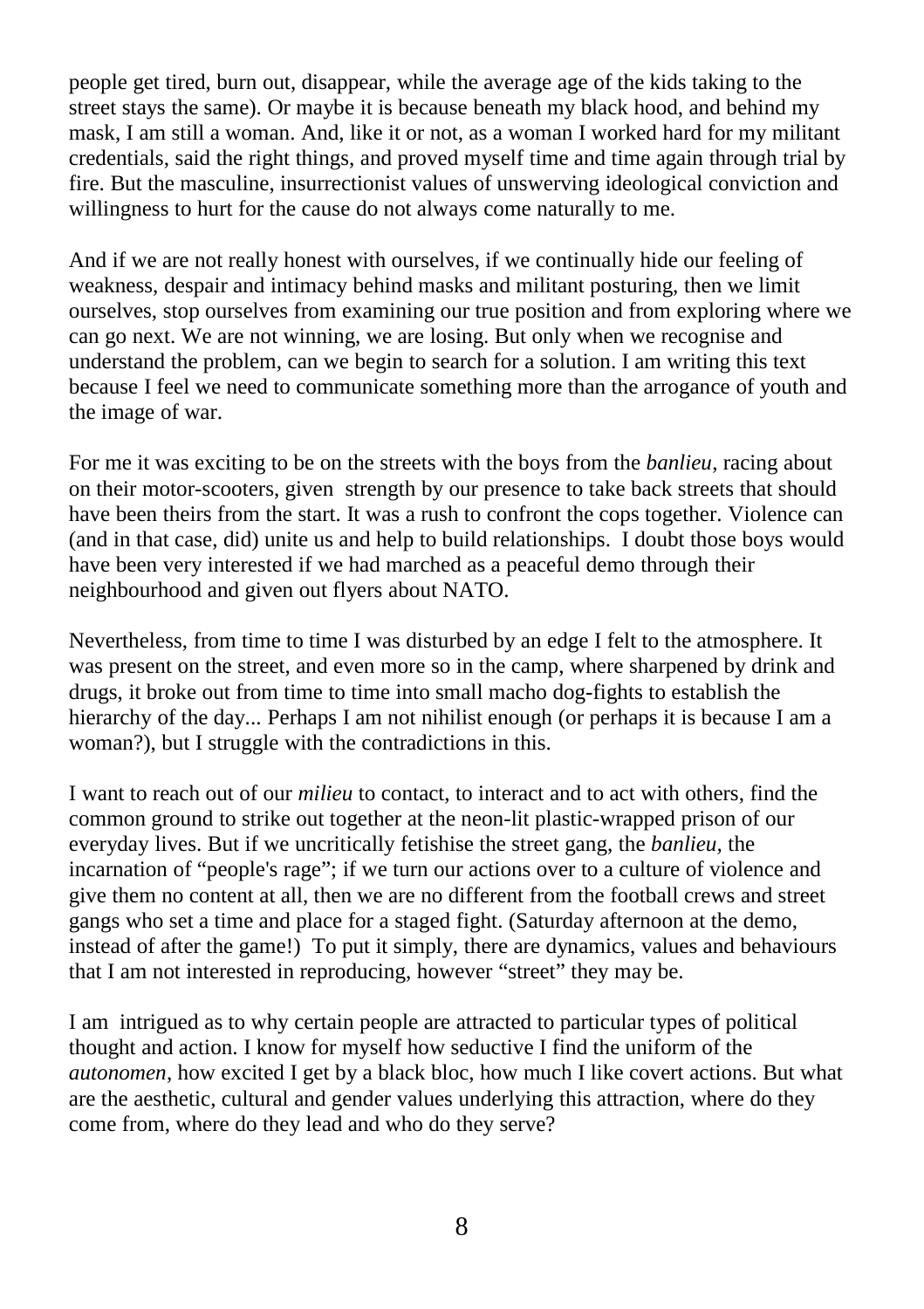people get tired, burn out, disappear, while the average age of the kids taking to the street stays the same). Or maybe it is because beneath my black hood, and behind my mask, I am still a woman. And, like it or not, as a woman I worked hard for my militant credentials, said the right things, and proved myself time and time again through trial by fire. But the masculine, insurrectionist values of unswerving ideological conviction and willingness to hurt for the cause do not always come naturally to me.

And if we are not really honest with ourselves, if we continually hide our feeling of weakness, despair and intimacy behind masks and militant posturing, then we limit ourselves, stop ourselves from examining our true position and from exploring where we can go next. We are not winning, we are losing. But only when we recognise and understand the problem, can we begin to search for a solution. I am writing this text because I feel we need to communicate something more than the arrogance of youth and the image of war.

For me it was exciting to be on the streets with the boys from the *banlieu*, racing about on their motor-scooters, given strength by our presence to take back streets that should have been theirs from the start. It was a rush to confront the cops together. Violence can (and in that case, did) unite us and help to build relationships. I doubt those boys would have been very interested if we had marched as a peaceful demo through their neighbourhood and given out flyers about NATO.

Nevertheless, from time to time I was disturbed by an edge I felt to the atmosphere. It was present on the street, and even more so in the camp, where sharpened by drink and drugs, it broke out from time to time into small macho dog-fights to establish the hierarchy of the day... Perhaps I am not nihilist enough (or perhaps it is because I am a woman?), but I struggle with the contradictions in this.

I want to reach out of our *milieu* to contact, to interact and to act with others, find the common ground to strike out together at the neon-lit plastic-wrapped prison of our everyday lives. But if we uncritically fetishise the street gang, the *banlieu,* the incarnation of "people's rage"; if we turn our actions over to a culture of violence and give them no content at all, then we are no different from the football crews and street gangs who set a time and place for a staged fight. (Saturday afternoon at the demo, instead of after the game!) To put it simply, there are dynamics, values and behaviours that I am not interested in reproducing, however "street" they may be.

I am intrigued as to why certain people are attracted to particular types of political thought and action. I know for myself how seductive I find the uniform of the *autonomen*, how excited I get by a black bloc, how much I like covert actions. But what are the aesthetic, cultural and gender values underlying this attraction, where do they come from, where do they lead and who do they serve?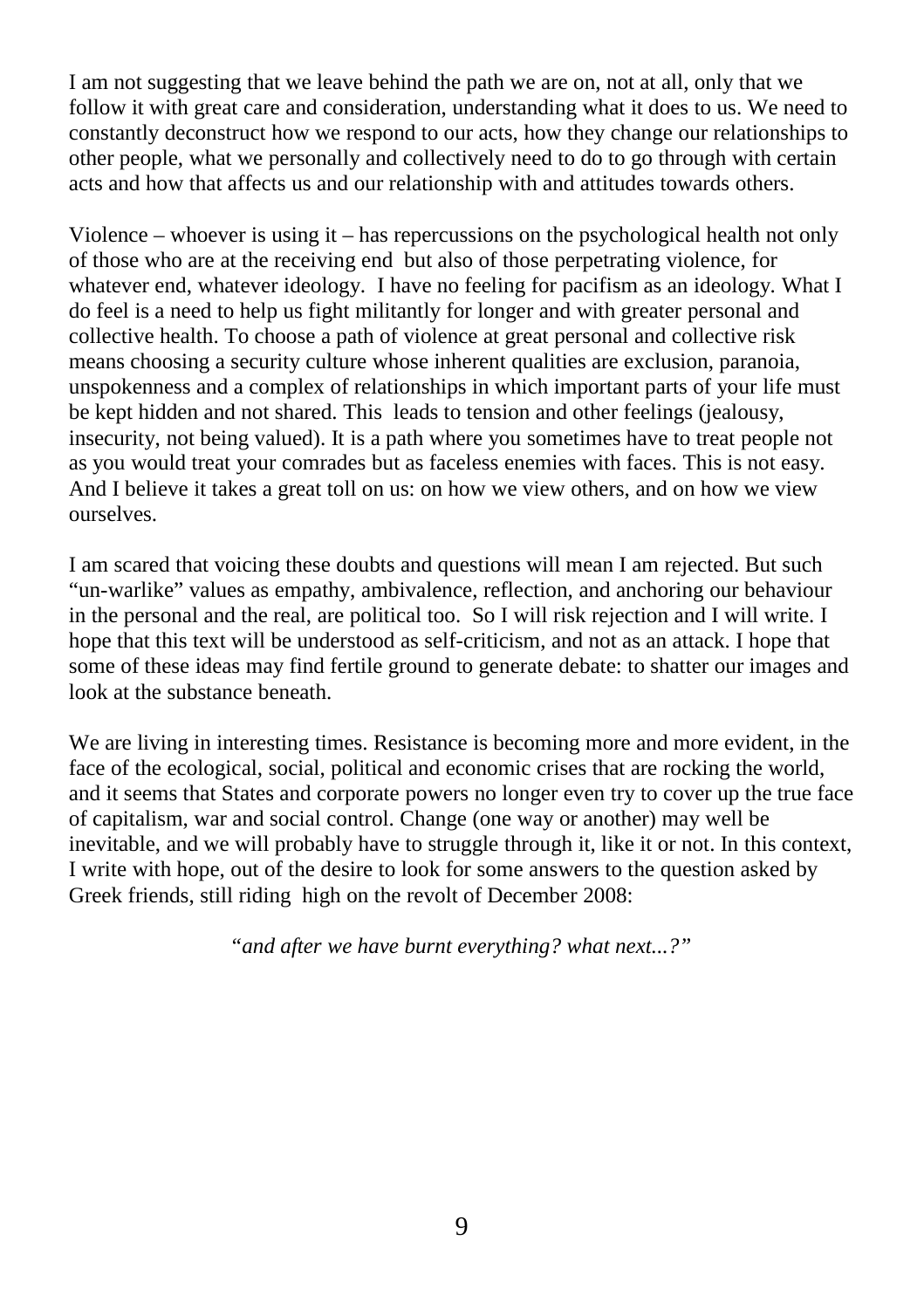I am not suggesting that we leave behind the path we are on, not at all, only that we follow it with great care and consideration, understanding what it does to us. We need to constantly deconstruct how we respond to our acts, how they change our relationships to other people, what we personally and collectively need to do to go through with certain acts and how that affects us and our relationship with and attitudes towards others.

Violence – whoever is using it – has repercussions on the psychological health not only of those who are at the receiving end but also of those perpetrating violence, for whatever end, whatever ideology. I have no feeling for pacifism as an ideology. What I do feel is a need to help us fight militantly for longer and with greater personal and collective health. To choose a path of violence at great personal and collective risk means choosing a security culture whose inherent qualities are exclusion, paranoia, unspokenness and a complex of relationships in which important parts of your life must be kept hidden and not shared. This leads to tension and other feelings (jealousy, insecurity, not being valued). It is a path where you sometimes have to treat people not as you would treat your comrades but as faceless enemies with faces. This is not easy. And I believe it takes a great toll on us: on how we view others, and on how we view ourselves.

I am scared that voicing these doubts and questions will mean I am rejected. But such "un-warlike" values as empathy, ambivalence, reflection, and anchoring our behaviour in the personal and the real, are political too. So I will risk rejection and I will write. I hope that this text will be understood as self-criticism, and not as an attack. I hope that some of these ideas may find fertile ground to generate debate: to shatter our images and look at the substance beneath.

We are living in interesting times. Resistance is becoming more and more evident, in the face of the ecological, social, political and economic crises that are rocking the world, and it seems that States and corporate powers no longer even try to cover up the true face of capitalism, war and social control. Change (one way or another) may well be inevitable, and we will probably have to struggle through it, like it or not. In this context, I write with hope, out of the desire to look for some answers to the question asked by Greek friends, still riding high on the revolt of December 2008:

*"and after we have burnt everything? what next...?"*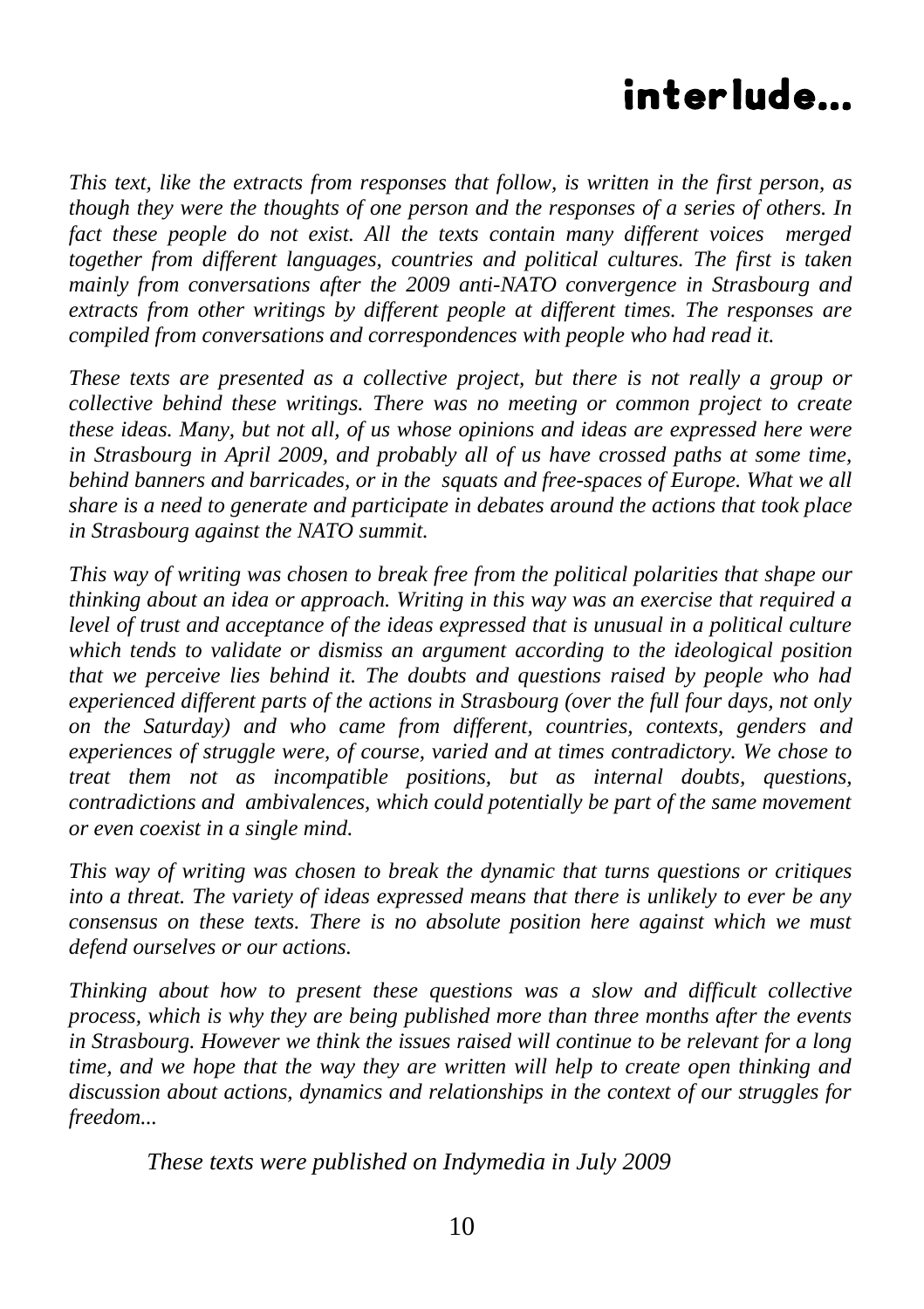# interlude...

*This text, like the extracts from responses that follow, is written in the first person, as though they were the thoughts of one person and the responses of a series of others. In fact these people do not exist. All the texts contain many different voices merged together from different languages, countries and political cultures. The first is taken mainly from conversations after the 2009 anti-NATO convergence in Strasbourg and extracts from other writings by different people at different times. The responses are compiled from conversations and correspondences with people who had read it.* 

*These texts are presented as a collective project, but there is not really a group or collective behind these writings. There was no meeting or common project to create these ideas. Many, but not all, of us whose opinions and ideas are expressed here were in Strasbourg in April 2009, and probably all of us have crossed paths at some time, behind banners and barricades, or in the squats and free-spaces of Europe. What we all share is a need to generate and participate in debates around the actions that took place in Strasbourg against the NATO summit.*

*This way of writing was chosen to break free from the political polarities that shape our thinking about an idea or approach. Writing in this way was an exercise that required a level of trust and acceptance of the ideas expressed that is unusual in a political culture which tends to validate or dismiss an argument according to the ideological position that we perceive lies behind it. The doubts and questions raised by people who had experienced different parts of the actions in Strasbourg (over the full four days, not only on the Saturday) and who came from different, countries, contexts, genders and experiences of struggle were, of course, varied and at times contradictory. We chose to treat them not as incompatible positions, but as internal doubts, questions, contradictions and ambivalences, which could potentially be part of the same movement or even coexist in a single mind.* 

*This way of writing was chosen to break the dynamic that turns questions or critiques into a threat. The variety of ideas expressed means that there is unlikely to ever be any consensus on these texts. There is no absolute position here against which we must defend ourselves or our actions.* 

*Thinking about how to present these questions was a slow and difficult collective process, which is why they are being published more than three months after the events in Strasbourg. However we think the issues raised will continue to be relevant for a long time, and we hope that the way they are written will help to create open thinking and discussion about actions, dynamics and relationships in the context of our struggles for freedom...*

*These texts were published on Indymedia in July 2009*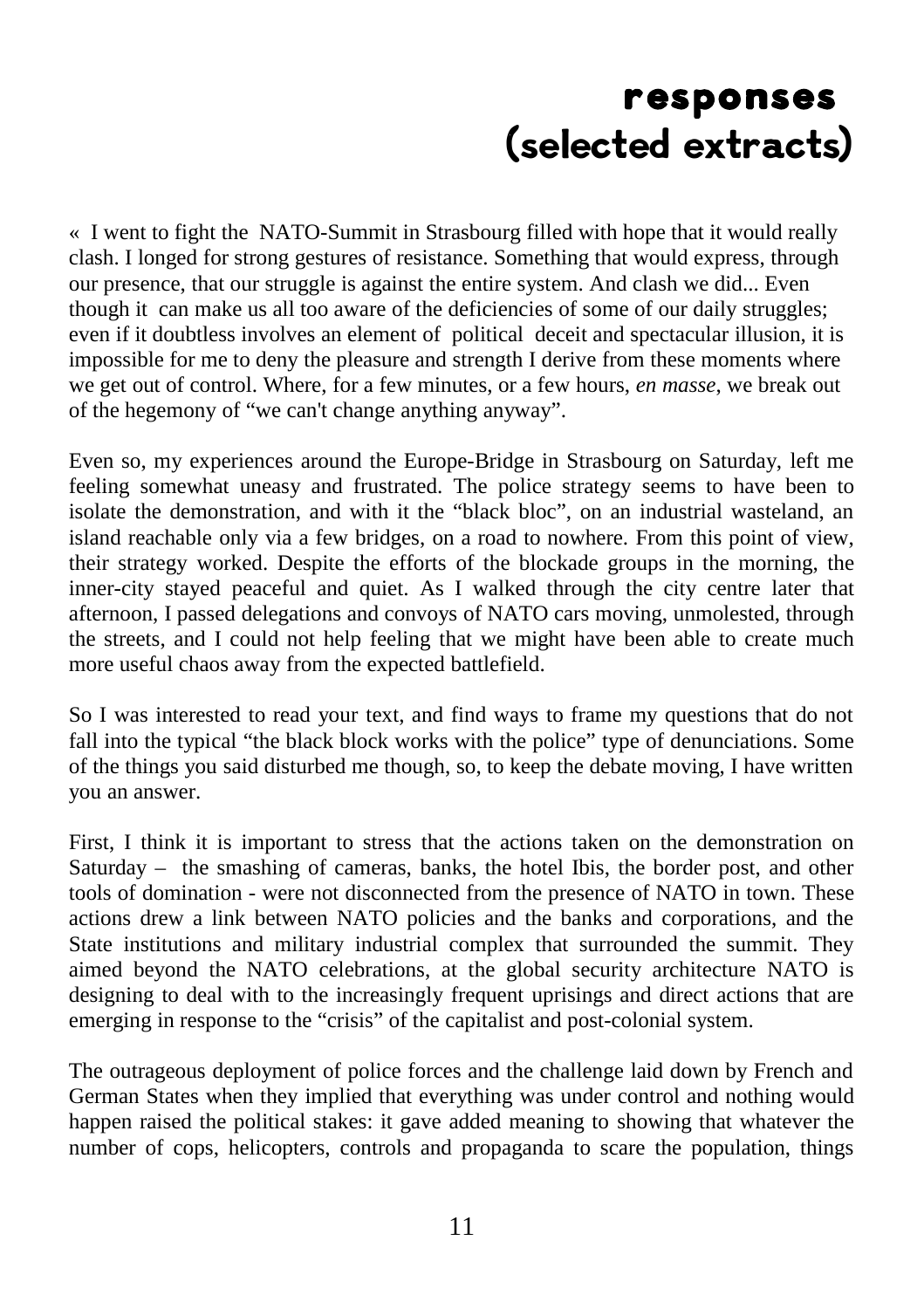## responses (selected extracts)

« I went to fight the NATO-Summit in Strasbourg filled with hope that it would really clash. I longed for strong gestures of resistance. Something that would express, through our presence, that our struggle is against the entire system. And clash we did... Even though it can make us all too aware of the deficiencies of some of our daily struggles; even if it doubtless involves an element of political deceit and spectacular illusion, it is impossible for me to deny the pleasure and strength I derive from these moments where we get out of control. Where, for a few minutes, or a few hours, *en masse*, we break out of the hegemony of "we can't change anything anyway".

Even so, my experiences around the Europe-Bridge in Strasbourg on Saturday, left me feeling somewhat uneasy and frustrated. The police strategy seems to have been to isolate the demonstration, and with it the "black bloc", on an industrial wasteland, an island reachable only via a few bridges, on a road to nowhere. From this point of view, their strategy worked. Despite the efforts of the blockade groups in the morning, the inner-city stayed peaceful and quiet. As I walked through the city centre later that afternoon, I passed delegations and convoys of NATO cars moving, unmolested, through the streets, and I could not help feeling that we might have been able to create much more useful chaos away from the expected battlefield.

So I was interested to read your text, and find ways to frame my questions that do not fall into the typical "the black block works with the police" type of denunciations. Some of the things you said disturbed me though, so, to keep the debate moving, I have written you an answer.

First, I think it is important to stress that the actions taken on the demonstration on Saturday – the smashing of cameras, banks, the hotel Ibis, the border post, and other tools of domination - were not disconnected from the presence of NATO in town. These actions drew a link between NATO policies and the banks and corporations, and the State institutions and military industrial complex that surrounded the summit. They aimed beyond the NATO celebrations, at the global security architecture NATO is designing to deal with to the increasingly frequent uprisings and direct actions that are emerging in response to the "crisis" of the capitalist and post-colonial system.

The outrageous deployment of police forces and the challenge laid down by French and German States when they implied that everything was under control and nothing would happen raised the political stakes: it gave added meaning to showing that whatever the number of cops, helicopters, controls and propaganda to scare the population, things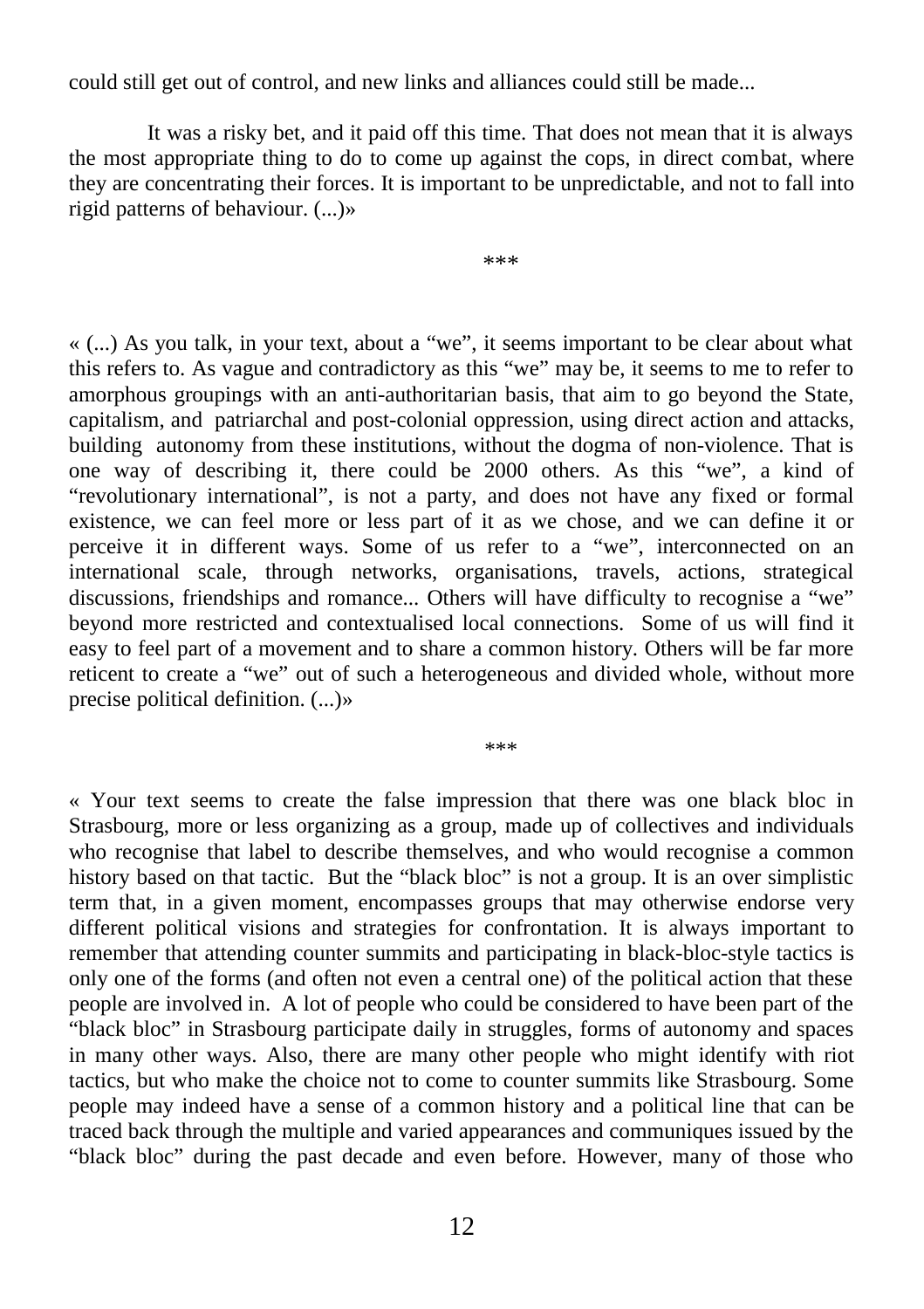could still get out of control, and new links and alliances could still be made...

It was a risky bet, and it paid off this time. That does not mean that it is always the most appropriate thing to do to come up against the cops, in direct combat, where they are concentrating their forces. It is important to be unpredictable, and not to fall into rigid patterns of behaviour. (...)»

\*\*\*

« (...) As you talk, in your text, about a "we", it seems important to be clear about what this refers to. As vague and contradictory as this "we" may be, it seems to me to refer to amorphous groupings with an anti-authoritarian basis, that aim to go beyond the State, capitalism, and patriarchal and post-colonial oppression, using direct action and attacks, building autonomy from these institutions, without the dogma of non-violence. That is one way of describing it, there could be 2000 others. As this "we", a kind of "revolutionary international", is not a party, and does not have any fixed or formal existence, we can feel more or less part of it as we chose, and we can define it or perceive it in different ways. Some of us refer to a "we", interconnected on an international scale, through networks, organisations, travels, actions, strategical discussions, friendships and romance... Others will have difficulty to recognise a "we" beyond more restricted and contextualised local connections. Some of us will find it easy to feel part of a movement and to share a common history. Others will be far more reticent to create a "we" out of such a heterogeneous and divided whole, without more precise political definition. (...)»

\*\*\*

« Your text seems to create the false impression that there was one black bloc in Strasbourg, more or less organizing as a group, made up of collectives and individuals who recognise that label to describe themselves, and who would recognise a common history based on that tactic. But the "black bloc" is not a group. It is an over simplistic term that, in a given moment, encompasses groups that may otherwise endorse very different political visions and strategies for confrontation. It is always important to remember that attending counter summits and participating in black-bloc-style tactics is only one of the forms (and often not even a central one) of the political action that these people are involved in. A lot of people who could be considered to have been part of the "black bloc" in Strasbourg participate daily in struggles, forms of autonomy and spaces in many other ways. Also, there are many other people who might identify with riot tactics, but who make the choice not to come to counter summits like Strasbourg. Some people may indeed have a sense of a common history and a political line that can be traced back through the multiple and varied appearances and communiques issued by the "black bloc" during the past decade and even before. However, many of those who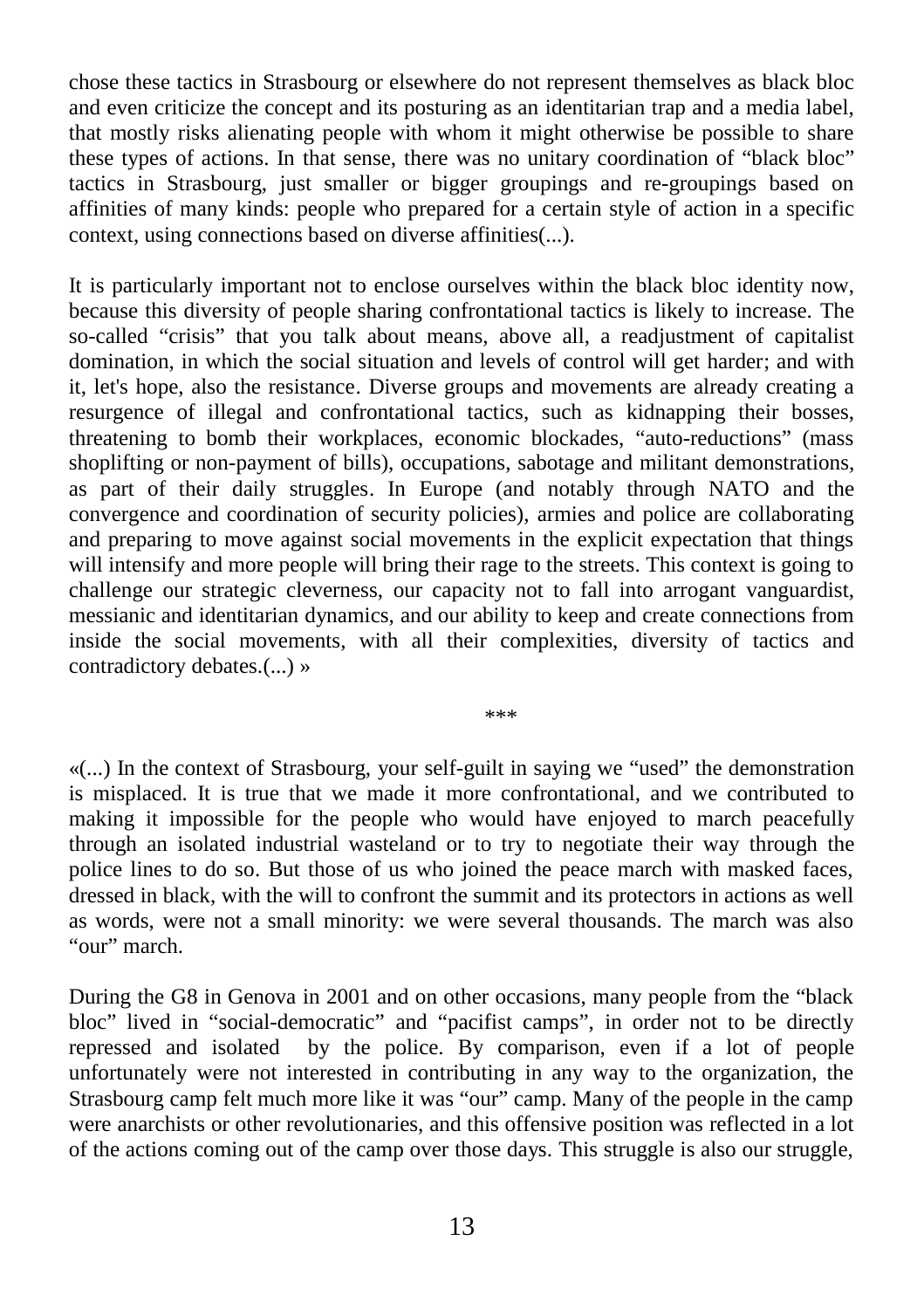chose these tactics in Strasbourg or elsewhere do not represent themselves as black bloc and even criticize the concept and its posturing as an identitarian trap and a media label, that mostly risks alienating people with whom it might otherwise be possible to share these types of actions. In that sense, there was no unitary coordination of "black bloc" tactics in Strasbourg, just smaller or bigger groupings and re-groupings based on affinities of many kinds: people who prepared for a certain style of action in a specific context, using connections based on diverse affinities(...).

It is particularly important not to enclose ourselves within the black bloc identity now, because this diversity of people sharing confrontational tactics is likely to increase. The so-called "crisis" that you talk about means, above all, a readjustment of capitalist domination, in which the social situation and levels of control will get harder; and with it, let's hope, also the resistance. Diverse groups and movements are already creating a resurgence of illegal and confrontational tactics, such as kidnapping their bosses, threatening to bomb their workplaces, economic blockades, "auto-reductions" (mass shoplifting or non-payment of bills), occupations, sabotage and militant demonstrations, as part of their daily struggles. In Europe (and notably through NATO and the convergence and coordination of security policies), armies and police are collaborating and preparing to move against social movements in the explicit expectation that things will intensify and more people will bring their rage to the streets. This context is going to challenge our strategic cleverness, our capacity not to fall into arrogant vanguardist, messianic and identitarian dynamics, and our ability to keep and create connections from inside the social movements, with all their complexities, diversity of tactics and contradictory debates.(...) »

\*\*\*

«(...) In the context of Strasbourg, your self-guilt in saying we "used" the demonstration is misplaced. It is true that we made it more confrontational, and we contributed to making it impossible for the people who would have enjoyed to march peacefully through an isolated industrial wasteland or to try to negotiate their way through the police lines to do so. But those of us who joined the peace march with masked faces, dressed in black, with the will to confront the summit and its protectors in actions as well as words, were not a small minority: we were several thousands. The march was also "our" march.

During the G8 in Genova in 2001 and on other occasions, many people from the "black bloc" lived in "social-democratic" and "pacifist camps", in order not to be directly repressed and isolated by the police. By comparison, even if a lot of people unfortunately were not interested in contributing in any way to the organization, the Strasbourg camp felt much more like it was "our" camp. Many of the people in the camp were anarchists or other revolutionaries, and this offensive position was reflected in a lot of the actions coming out of the camp over those days. This struggle is also our struggle,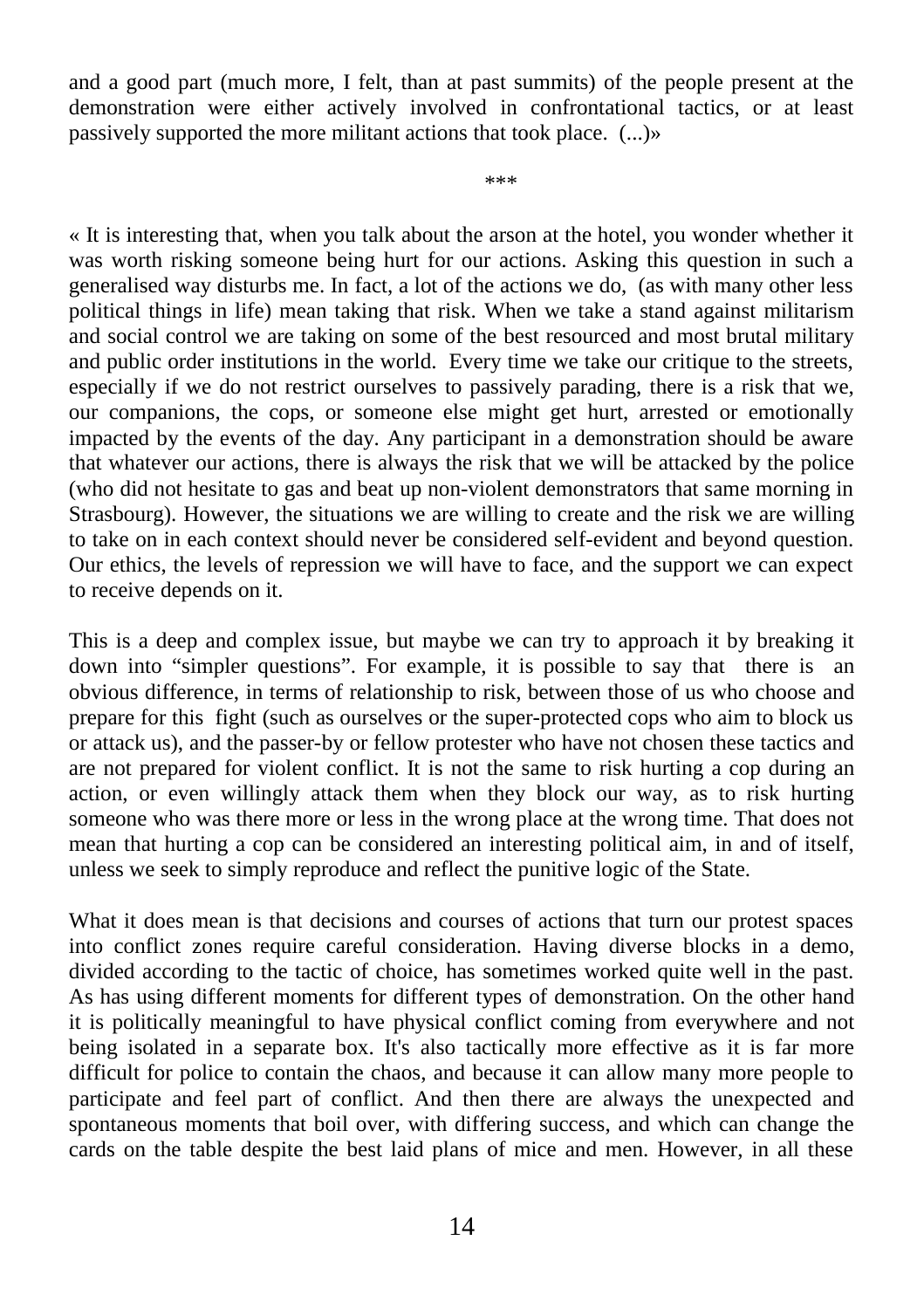and a good part (much more, I felt, than at past summits) of the people present at the demonstration were either actively involved in confrontational tactics, or at least passively supported the more militant actions that took place. (...)»

\*\*\*

« It is interesting that, when you talk about the arson at the hotel, you wonder whether it was worth risking someone being hurt for our actions. Asking this question in such a generalised way disturbs me. In fact, a lot of the actions we do, (as with many other less political things in life) mean taking that risk. When we take a stand against militarism and social control we are taking on some of the best resourced and most brutal military and public order institutions in the world. Every time we take our critique to the streets, especially if we do not restrict ourselves to passively parading, there is a risk that we, our companions, the cops, or someone else might get hurt, arrested or emotionally impacted by the events of the day. Any participant in a demonstration should be aware that whatever our actions, there is always the risk that we will be attacked by the police (who did not hesitate to gas and beat up non-violent demonstrators that same morning in Strasbourg). However, the situations we are willing to create and the risk we are willing to take on in each context should never be considered self-evident and beyond question. Our ethics, the levels of repression we will have to face, and the support we can expect to receive depends on it.

This is a deep and complex issue, but maybe we can try to approach it by breaking it down into "simpler questions". For example, it is possible to say that there is an obvious difference, in terms of relationship to risk, between those of us who choose and prepare for this fight (such as ourselves or the super-protected cops who aim to block us or attack us), and the passer-by or fellow protester who have not chosen these tactics and are not prepared for violent conflict. It is not the same to risk hurting a cop during an action, or even willingly attack them when they block our way, as to risk hurting someone who was there more or less in the wrong place at the wrong time. That does not mean that hurting a cop can be considered an interesting political aim, in and of itself, unless we seek to simply reproduce and reflect the punitive logic of the State.

What it does mean is that decisions and courses of actions that turn our protest spaces into conflict zones require careful consideration. Having diverse blocks in a demo, divided according to the tactic of choice, has sometimes worked quite well in the past. As has using different moments for different types of demonstration. On the other hand it is politically meaningful to have physical conflict coming from everywhere and not being isolated in a separate box. It's also tactically more effective as it is far more difficult for police to contain the chaos, and because it can allow many more people to participate and feel part of conflict. And then there are always the unexpected and spontaneous moments that boil over, with differing success, and which can change the cards on the table despite the best laid plans of mice and men. However, in all these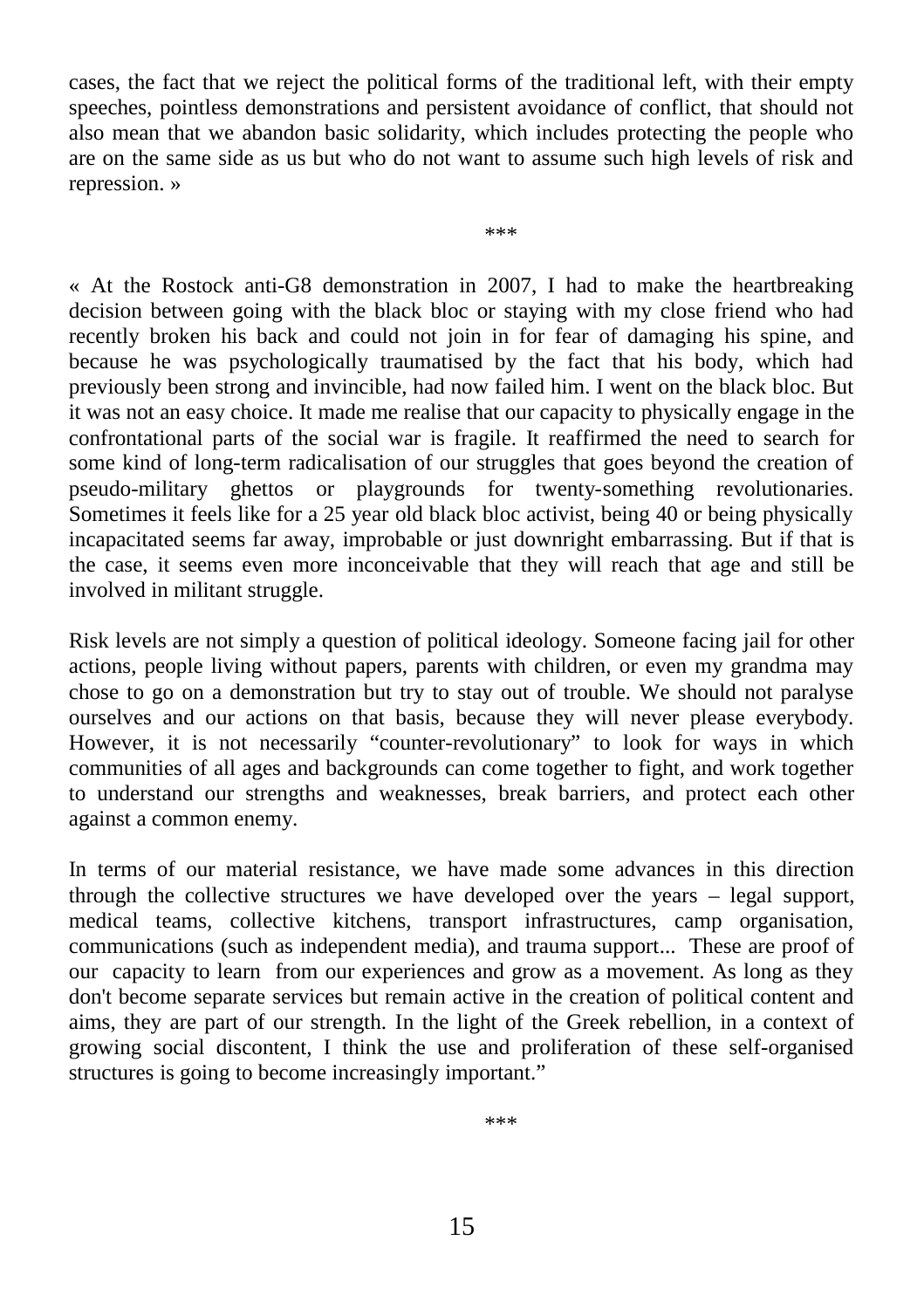cases, the fact that we reject the political forms of the traditional left, with their empty speeches, pointless demonstrations and persistent avoidance of conflict, that should not also mean that we abandon basic solidarity, which includes protecting the people who are on the same side as us but who do not want to assume such high levels of risk and repression. »

\*\*\*

« At the Rostock anti-G8 demonstration in 2007, I had to make the heartbreaking decision between going with the black bloc or staying with my close friend who had recently broken his back and could not join in for fear of damaging his spine, and because he was psychologically traumatised by the fact that his body, which had previously been strong and invincible, had now failed him. I went on the black bloc. But it was not an easy choice. It made me realise that our capacity to physically engage in the confrontational parts of the social war is fragile. It reaffirmed the need to search for some kind of long-term radicalisation of our struggles that goes beyond the creation of pseudo-military ghettos or playgrounds for twenty-something revolutionaries. Sometimes it feels like for a 25 year old black bloc activist, being 40 or being physically incapacitated seems far away, improbable or just downright embarrassing. But if that is the case, it seems even more inconceivable that they will reach that age and still be involved in militant struggle.

Risk levels are not simply a question of political ideology. Someone facing jail for other actions, people living without papers, parents with children, or even my grandma may chose to go on a demonstration but try to stay out of trouble. We should not paralyse ourselves and our actions on that basis, because they will never please everybody. However, it is not necessarily "counter-revolutionary" to look for ways in which communities of all ages and backgrounds can come together to fight, and work together to understand our strengths and weaknesses, break barriers, and protect each other against a common enemy.

In terms of our material resistance, we have made some advances in this direction through the collective structures we have developed over the years – legal support, medical teams, collective kitchens, transport infrastructures, camp organisation, communications (such as independent media), and trauma support... These are proof of our capacity to learn from our experiences and grow as a movement. As long as they don't become separate services but remain active in the creation of political content and aims, they are part of our strength. In the light of the Greek rebellion, in a context of growing social discontent, I think the use and proliferation of these self-organised structures is going to become increasingly important."

\*\*\*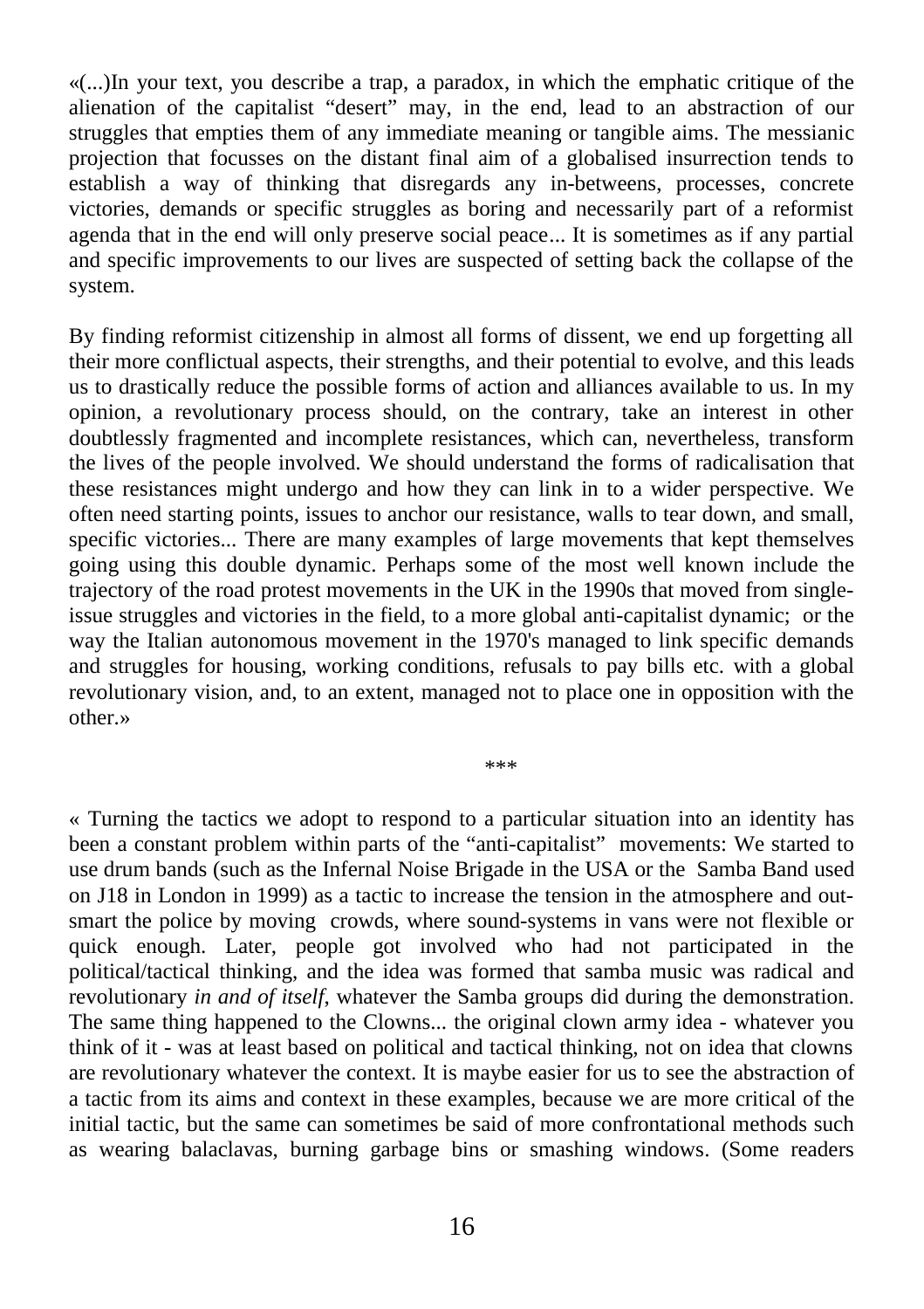«(...)In your text, you describe a trap, a paradox, in which the emphatic critique of the alienation of the capitalist "desert" may, in the end, lead to an abstraction of our struggles that empties them of any immediate meaning or tangible aims. The messianic projection that focusses on the distant final aim of a globalised insurrection tends to establish a way of thinking that disregards any in-betweens, processes, concrete victories, demands or specific struggles as boring and necessarily part of a reformist agenda that in the end will only preserve social peace... It is sometimes as if any partial and specific improvements to our lives are suspected of setting back the collapse of the system.

By finding reformist citizenship in almost all forms of dissent, we end up forgetting all their more conflictual aspects, their strengths, and their potential to evolve, and this leads us to drastically reduce the possible forms of action and alliances available to us. In my opinion, a revolutionary process should, on the contrary, take an interest in other doubtlessly fragmented and incomplete resistances, which can, nevertheless, transform the lives of the people involved. We should understand the forms of radicalisation that these resistances might undergo and how they can link in to a wider perspective. We often need starting points, issues to anchor our resistance, walls to tear down, and small, specific victories... There are many examples of large movements that kept themselves going using this double dynamic. Perhaps some of the most well known include the trajectory of the road protest movements in the UK in the 1990s that moved from singleissue struggles and victories in the field, to a more global anti-capitalist dynamic; or the way the Italian autonomous movement in the 1970's managed to link specific demands and struggles for housing, working conditions, refusals to pay bills etc. with a global revolutionary vision, and, to an extent, managed not to place one in opposition with the other.»

« Turning the tactics we adopt to respond to a particular situation into an identity has been a constant problem within parts of the "anti-capitalist" movements: We started to use drum bands (such as the Infernal Noise Brigade in the USA or the Samba Band used on J18 in London in 1999) as a tactic to increase the tension in the atmosphere and outsmart the police by moving crowds, where sound-systems in vans were not flexible or quick enough. Later, people got involved who had not participated in the political/tactical thinking, and the idea was formed that samba music was radical and revolutionary *in and of itself*, whatever the Samba groups did during the demonstration. The same thing happened to the Clowns... the original clown army idea - whatever you think of it - was at least based on political and tactical thinking, not on idea that clowns are revolutionary whatever the context. It is maybe easier for us to see the abstraction of a tactic from its aims and context in these examples, because we are more critical of the initial tactic, but the same can sometimes be said of more confrontational methods such as wearing balaclavas, burning garbage bins or smashing windows. (Some readers

\*\*\*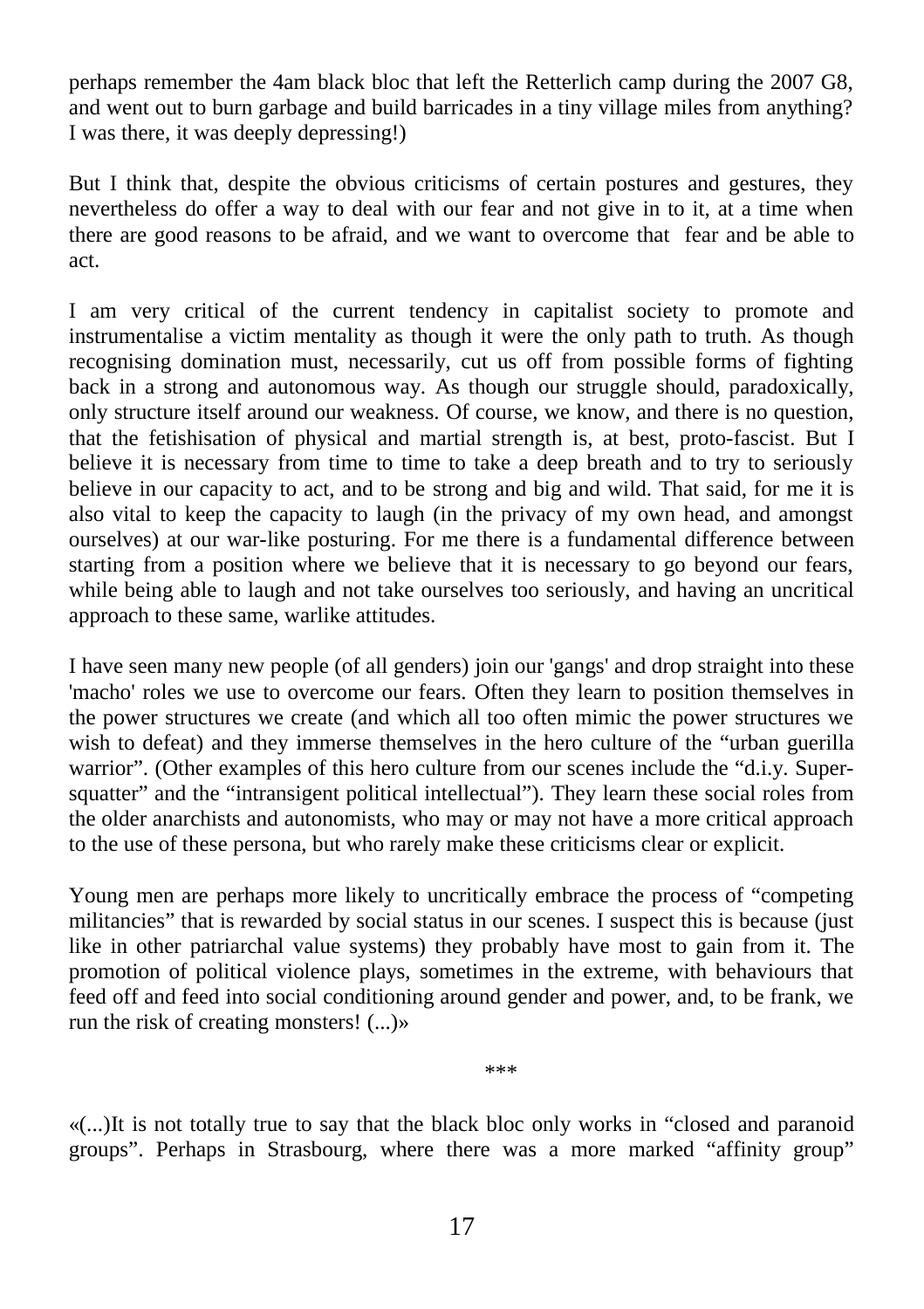perhaps remember the 4am black bloc that left the Retterlich camp during the 2007 G8, and went out to burn garbage and build barricades in a tiny village miles from anything? I was there, it was deeply depressing!)

But I think that, despite the obvious criticisms of certain postures and gestures, they nevertheless do offer a way to deal with our fear and not give in to it, at a time when there are good reasons to be afraid, and we want to overcome that fear and be able to act.

I am very critical of the current tendency in capitalist society to promote and instrumentalise a victim mentality as though it were the only path to truth. As though recognising domination must, necessarily, cut us off from possible forms of fighting back in a strong and autonomous way. As though our struggle should, paradoxically, only structure itself around our weakness. Of course, we know, and there is no question, that the fetishisation of physical and martial strength is, at best, proto-fascist. But I believe it is necessary from time to time to take a deep breath and to try to seriously believe in our capacity to act, and to be strong and big and wild. That said, for me it is also vital to keep the capacity to laugh (in the privacy of my own head, and amongst ourselves) at our war-like posturing. For me there is a fundamental difference between starting from a position where we believe that it is necessary to go beyond our fears, while being able to laugh and not take ourselves too seriously, and having an uncritical approach to these same, warlike attitudes.

I have seen many new people (of all genders) join our 'gangs' and drop straight into these 'macho' roles we use to overcome our fears. Often they learn to position themselves in the power structures we create (and which all too often mimic the power structures we wish to defeat) and they immerse themselves in the hero culture of the "urban guerilla warrior". (Other examples of this hero culture from our scenes include the "d.i.y. Supersquatter" and the "intransigent political intellectual"). They learn these social roles from the older anarchists and autonomists, who may or may not have a more critical approach to the use of these persona, but who rarely make these criticisms clear or explicit.

Young men are perhaps more likely to uncritically embrace the process of "competing militancies" that is rewarded by social status in our scenes. I suspect this is because (just like in other patriarchal value systems) they probably have most to gain from it. The promotion of political violence plays, sometimes in the extreme, with behaviours that feed off and feed into social conditioning around gender and power, and, to be frank, we run the risk of creating monsters! (...)»

«(...)It is not totally true to say that the black bloc only works in "closed and paranoid groups". Perhaps in Strasbourg, where there was a more marked "affinity group"

\*\*\*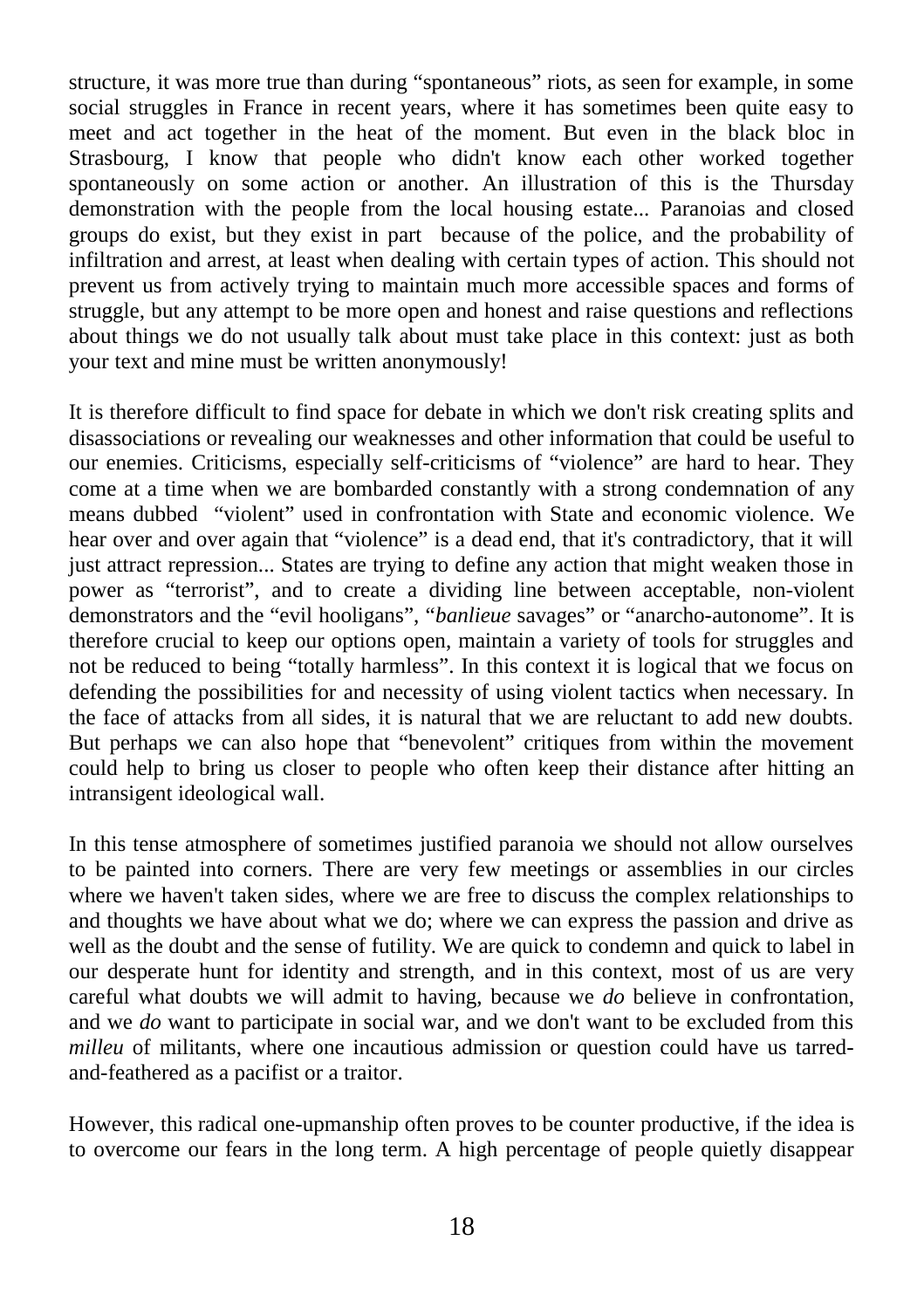structure, it was more true than during "spontaneous" riots, as seen for example, in some social struggles in France in recent years, where it has sometimes been quite easy to meet and act together in the heat of the moment. But even in the black bloc in Strasbourg, I know that people who didn't know each other worked together spontaneously on some action or another. An illustration of this is the Thursday demonstration with the people from the local housing estate... Paranoias and closed groups do exist, but they exist in part because of the police, and the probability of infiltration and arrest, at least when dealing with certain types of action. This should not prevent us from actively trying to maintain much more accessible spaces and forms of struggle, but any attempt to be more open and honest and raise questions and reflections about things we do not usually talk about must take place in this context: just as both your text and mine must be written anonymously!

It is therefore difficult to find space for debate in which we don't risk creating splits and disassociations or revealing our weaknesses and other information that could be useful to our enemies. Criticisms, especially self-criticisms of "violence" are hard to hear. They come at a time when we are bombarded constantly with a strong condemnation of any means dubbed "violent" used in confrontation with State and economic violence. We hear over and over again that "violence" is a dead end, that it's contradictory, that it will just attract repression... States are trying to define any action that might weaken those in power as "terrorist", and to create a dividing line between acceptable, non-violent demonstrators and the "evil hooligans", "*banlieue* savages" or "anarcho-autonome". It is therefore crucial to keep our options open, maintain a variety of tools for struggles and not be reduced to being "totally harmless". In this context it is logical that we focus on defending the possibilities for and necessity of using violent tactics when necessary. In the face of attacks from all sides, it is natural that we are reluctant to add new doubts. But perhaps we can also hope that "benevolent" critiques from within the movement could help to bring us closer to people who often keep their distance after hitting an intransigent ideological wall.

In this tense atmosphere of sometimes justified paranoia we should not allow ourselves to be painted into corners. There are very few meetings or assemblies in our circles where we haven't taken sides, where we are free to discuss the complex relationships to and thoughts we have about what we do; where we can express the passion and drive as well as the doubt and the sense of futility. We are quick to condemn and quick to label in our desperate hunt for identity and strength, and in this context, most of us are very careful what doubts we will admit to having, because we *do* believe in confrontation, and we *do* want to participate in social war, and we don't want to be excluded from this *milleu* of militants, where one incautious admission or question could have us tarredand-feathered as a pacifist or a traitor.

However, this radical one-upmanship often proves to be counter productive, if the idea is to overcome our fears in the long term. A high percentage of people quietly disappear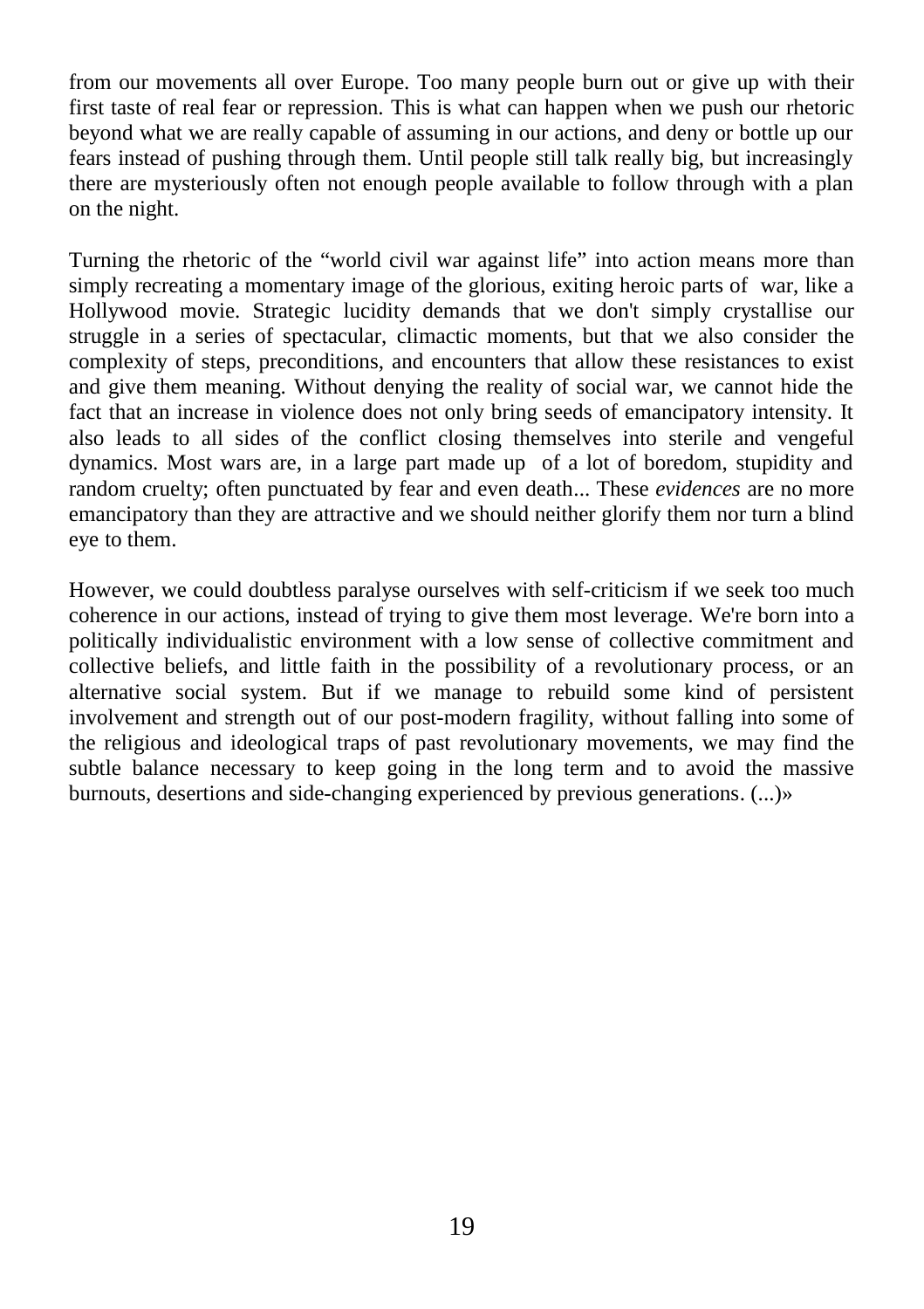from our movements all over Europe. Too many people burn out or give up with their first taste of real fear or repression. This is what can happen when we push our rhetoric beyond what we are really capable of assuming in our actions, and deny or bottle up our fears instead of pushing through them. Until people still talk really big, but increasingly there are mysteriously often not enough people available to follow through with a plan on the night.

Turning the rhetoric of the "world civil war against life" into action means more than simply recreating a momentary image of the glorious, exiting heroic parts of war, like a Hollywood movie. Strategic lucidity demands that we don't simply crystallise our struggle in a series of spectacular, climactic moments, but that we also consider the complexity of steps, preconditions, and encounters that allow these resistances to exist and give them meaning. Without denying the reality of social war, we cannot hide the fact that an increase in violence does not only bring seeds of emancipatory intensity. It also leads to all sides of the conflict closing themselves into sterile and vengeful dynamics. Most wars are, in a large part made up of a lot of boredom, stupidity and random cruelty; often punctuated by fear and even death... These *evidences* are no more emancipatory than they are attractive and we should neither glorify them nor turn a blind eye to them.

However, we could doubtless paralyse ourselves with self-criticism if we seek too much coherence in our actions, instead of trying to give them most leverage. We're born into a politically individualistic environment with a low sense of collective commitment and collective beliefs, and little faith in the possibility of a revolutionary process, or an alternative social system. But if we manage to rebuild some kind of persistent involvement and strength out of our post-modern fragility, without falling into some of the religious and ideological traps of past revolutionary movements, we may find the subtle balance necessary to keep going in the long term and to avoid the massive burnouts, desertions and side-changing experienced by previous generations. (...)»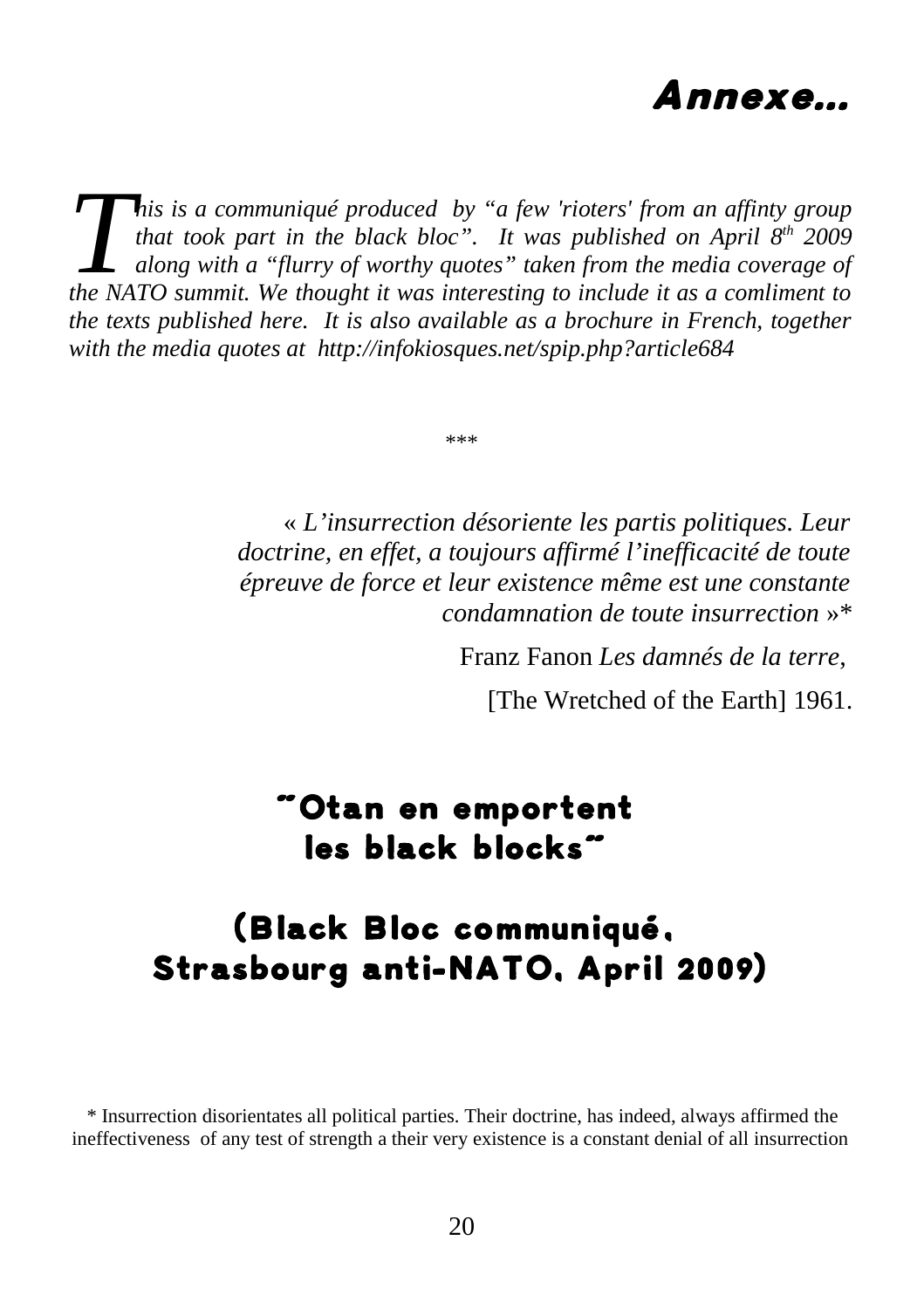

*his is a communiqué produced by "a few 'rioters' from an affinty group that took part in the black bloc". It was published on April 8th 2009 along with a "flurry of worthy quotes" taken from the media coverage of that took part in the black bloc".* It was published on April  $8^{th}$  2009 along with a "flurry of worthy quotes" taken from the media coverage of the NATO summit. We thought it was interesting to include it as a comliment *the texts published here. It is also available as a brochure in French, together with the media quotes at http://infokiosques.net/spip.php?article684*

\*\*\*

« *L'insurrection désoriente les partis politiques. Leur doctrine, en effet, a toujours affirmé l'inefficacité de toute épreuve de force et leur existence même est une constante condamnation de toute insurrection* »\*

Franz Fanon *Les damnés de la terre*,

[The Wretched of the Earth] 1961.

### "Otan en emportent les black blocks"

### (Black Bloc communiqué, Strasbourg anti-NATO, April 2009)

\* Insurrection disorientates all political parties. Their doctrine, has indeed, always affirmed the ineffectiveness of any test of strength a their very existence is a constant denial of all insurrection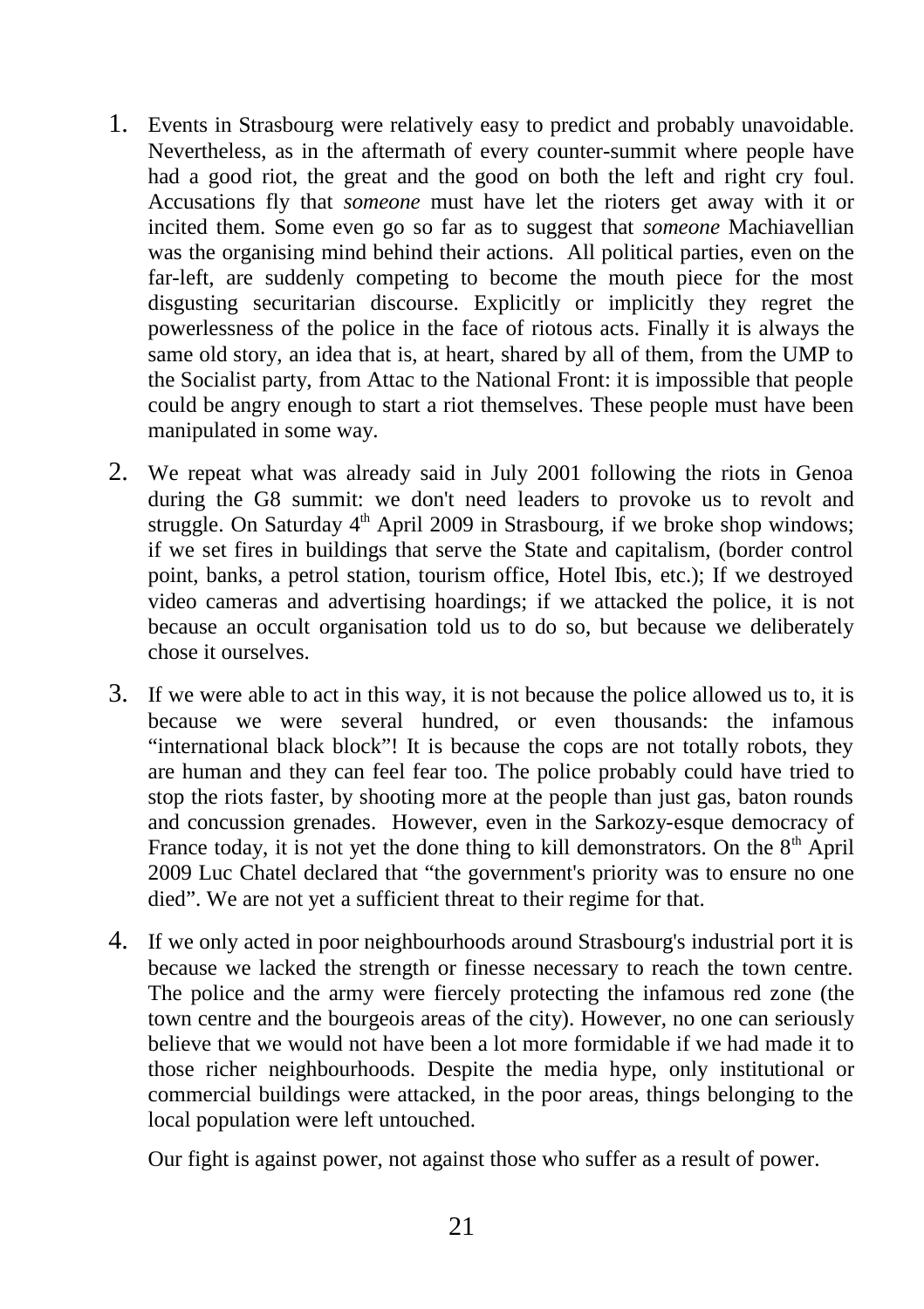- 1. Events in Strasbourg were relatively easy to predict and probably unavoidable. Nevertheless, as in the aftermath of every counter-summit where people have had a good riot, the great and the good on both the left and right cry foul. Accusations fly that *someone* must have let the rioters get away with it or incited them. Some even go so far as to suggest that *someone* Machiavellian was the organising mind behind their actions. All political parties, even on the far-left, are suddenly competing to become the mouth piece for the most disgusting securitarian discourse. Explicitly or implicitly they regret the powerlessness of the police in the face of riotous acts. Finally it is always the same old story, an idea that is, at heart, shared by all of them, from the UMP to the Socialist party, from Attac to the National Front: it is impossible that people could be angry enough to start a riot themselves. These people must have been manipulated in some way.
- 2. We repeat what was already said in July 2001 following the riots in Genoa during the G8 summit: we don't need leaders to provoke us to revolt and struggle. On Saturday  $4<sup>th</sup>$  April 2009 in Strasbourg, if we broke shop windows; if we set fires in buildings that serve the State and capitalism, (border control point, banks, a petrol station, tourism office, Hotel Ibis, etc.); If we destroyed video cameras and advertising hoardings; if we attacked the police, it is not because an occult organisation told us to do so, but because we deliberately chose it ourselves.
- 3. If we were able to act in this way, it is not because the police allowed us to, it is because we were several hundred, or even thousands: the infamous "international black block"! It is because the cops are not totally robots, they are human and they can feel fear too. The police probably could have tried to stop the riots faster, by shooting more at the people than just gas, baton rounds and concussion grenades. However, even in the Sarkozy-esque democracy of France today, it is not yet the done thing to kill demonstrators. On the  $8<sup>th</sup>$  April 2009 Luc Chatel declared that "the government's priority was to ensure no one died". We are not yet a sufficient threat to their regime for that.
- 4. If we only acted in poor neighbourhoods around Strasbourg's industrial port it is because we lacked the strength or finesse necessary to reach the town centre. The police and the army were fiercely protecting the infamous red zone (the town centre and the bourgeois areas of the city). However, no one can seriously believe that we would not have been a lot more formidable if we had made it to those richer neighbourhoods. Despite the media hype, only institutional or commercial buildings were attacked, in the poor areas, things belonging to the local population were left untouched.

Our fight is against power, not against those who suffer as a result of power.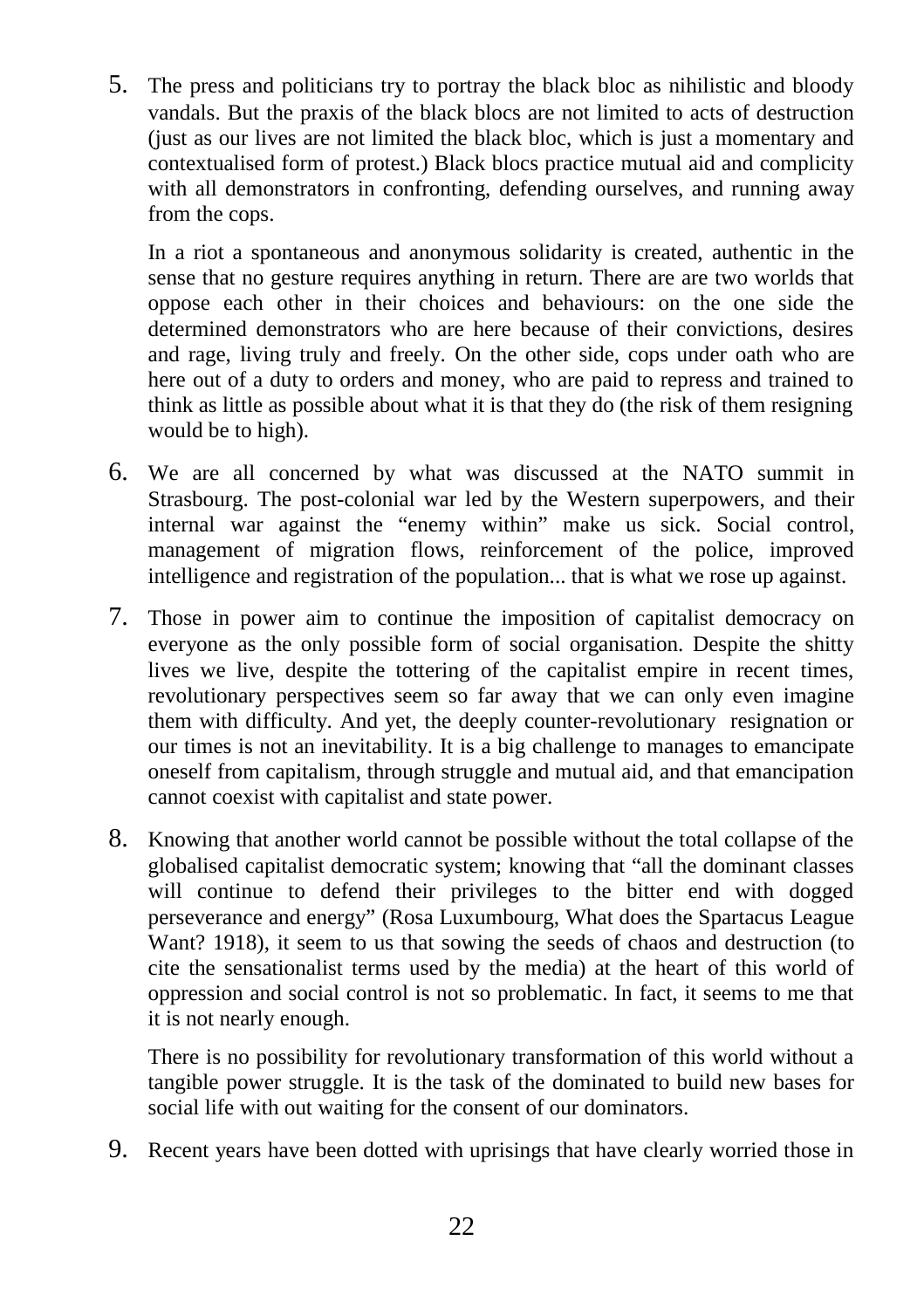5. The press and politicians try to portray the black bloc as nihilistic and bloody vandals. But the praxis of the black blocs are not limited to acts of destruction (just as our lives are not limited the black bloc, which is just a momentary and contextualised form of protest.) Black blocs practice mutual aid and complicity with all demonstrators in confronting, defending ourselves, and running away from the cops.

In a riot a spontaneous and anonymous solidarity is created, authentic in the sense that no gesture requires anything in return. There are are two worlds that oppose each other in their choices and behaviours: on the one side the determined demonstrators who are here because of their convictions, desires and rage, living truly and freely. On the other side, cops under oath who are here out of a duty to orders and money, who are paid to repress and trained to think as little as possible about what it is that they do (the risk of them resigning would be to high).

- 6. We are all concerned by what was discussed at the NATO summit in Strasbourg. The post-colonial war led by the Western superpowers, and their internal war against the "enemy within" make us sick. Social control, management of migration flows, reinforcement of the police, improved intelligence and registration of the population... that is what we rose up against.
- 7. Those in power aim to continue the imposition of capitalist democracy on everyone as the only possible form of social organisation. Despite the shitty lives we live, despite the tottering of the capitalist empire in recent times, revolutionary perspectives seem so far away that we can only even imagine them with difficulty. And yet, the deeply counter-revolutionary resignation or our times is not an inevitability. It is a big challenge to manages to emancipate oneself from capitalism, through struggle and mutual aid, and that emancipation cannot coexist with capitalist and state power.
- 8. Knowing that another world cannot be possible without the total collapse of the globalised capitalist democratic system; knowing that "all the dominant classes will continue to defend their privileges to the bitter end with dogged perseverance and energy" (Rosa Luxumbourg, What does the Spartacus League Want? 1918), it seem to us that sowing the seeds of chaos and destruction (to cite the sensationalist terms used by the media) at the heart of this world of oppression and social control is not so problematic. In fact, it seems to me that it is not nearly enough.

There is no possibility for revolutionary transformation of this world without a tangible power struggle. It is the task of the dominated to build new bases for social life with out waiting for the consent of our dominators.

9. Recent years have been dotted with uprisings that have clearly worried those in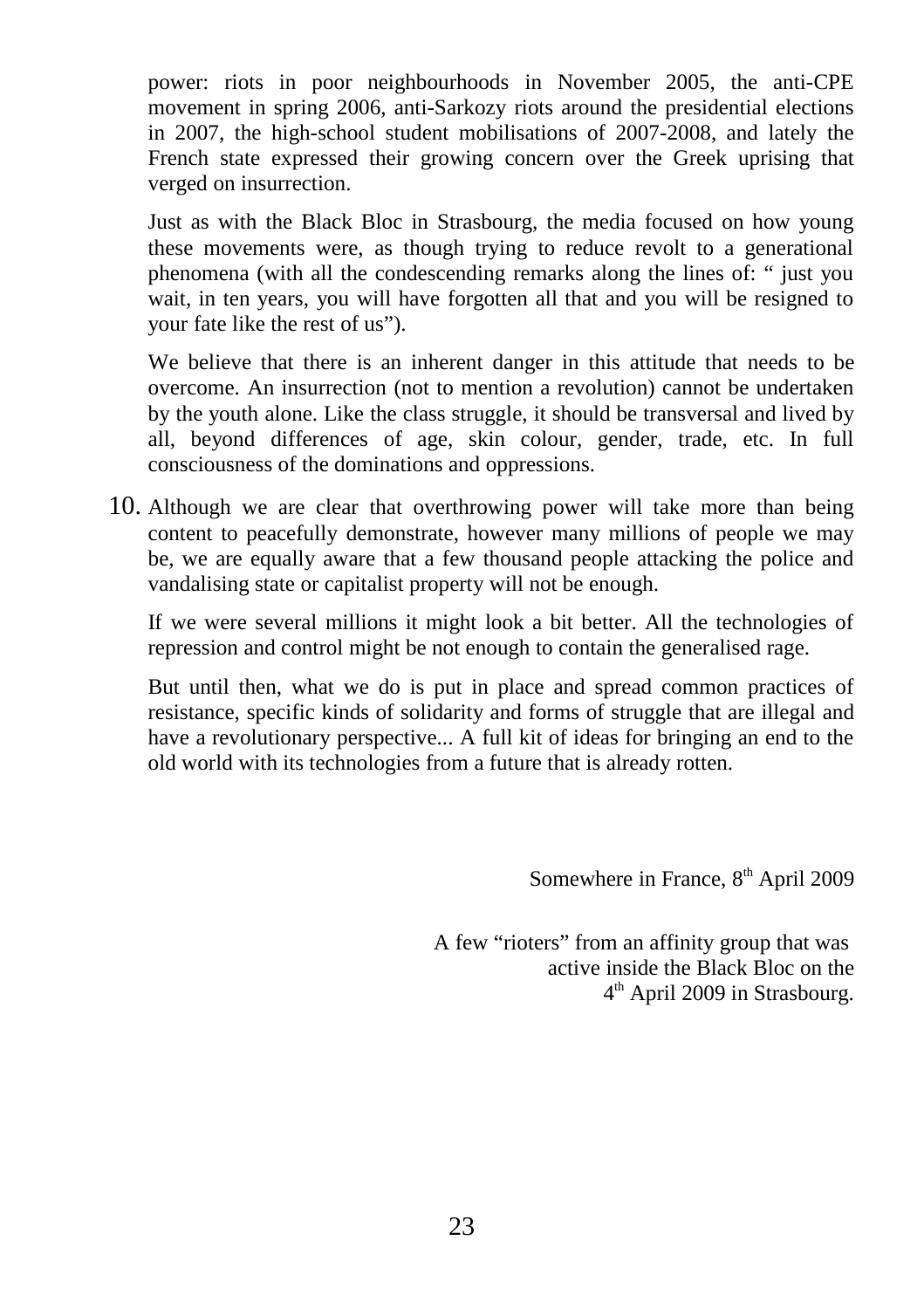power: riots in poor neighbourhoods in November 2005, the anti-CPE movement in spring 2006, anti-Sarkozy riots around the presidential elections in 2007, the high-school student mobilisations of 2007-2008, and lately the French state expressed their growing concern over the Greek uprising that verged on insurrection.

Just as with the Black Bloc in Strasbourg, the media focused on how young these movements were, as though trying to reduce revolt to a generational phenomena (with all the condescending remarks along the lines of: " just you wait, in ten years, you will have forgotten all that and you will be resigned to your fate like the rest of us").

We believe that there is an inherent danger in this attitude that needs to be overcome. An insurrection (not to mention a revolution) cannot be undertaken by the youth alone. Like the class struggle, it should be transversal and lived by all, beyond differences of age, skin colour, gender, trade, etc. In full consciousness of the dominations and oppressions.

10. Although we are clear that overthrowing power will take more than being content to peacefully demonstrate, however many millions of people we may be, we are equally aware that a few thousand people attacking the police and vandalising state or capitalist property will not be enough.

If we were several millions it might look a bit better. All the technologies of repression and control might be not enough to contain the generalised rage.

But until then, what we do is put in place and spread common practices of resistance, specific kinds of solidarity and forms of struggle that are illegal and have a revolutionary perspective... A full kit of ideas for bringing an end to the old world with its technologies from a future that is already rotten.

Somewhere in France,  $8<sup>th</sup>$  April 2009

A few "rioters" from an affinity group that was active inside the Black Bloc on the 4<sup>th</sup> April 2009 in Strasbourg.